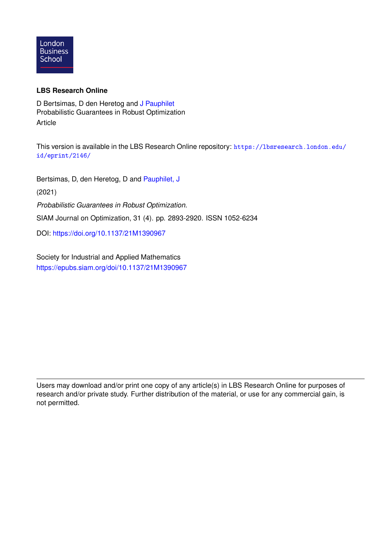

### **LBS Research Online**

D Bertsimas, D den Heretog and [J Pauphilet](https://lbsresearch.london.edu/view/lbs_authors/3651825.html) Probabilistic Guarantees in Robust Optimization Article

This version is available in the LBS Research Online repository: [https://lbsresearch.london.edu/](https://lbsresearch.london.edu/id/eprint/2146/) [id/eprint/2146/](https://lbsresearch.london.edu/id/eprint/2146/)

Bertsimas, D, den Heretog, D and [Pauphilet, J](https://lbsresearch.london.edu/view/lbs_authors/3651825.html)

(2021)

*Probabilistic Guarantees in Robust Optimization.*

SIAM Journal on Optimization, 31 (4). pp. 2893-2920. ISSN 1052-6234

DOI: <https://doi.org/10.1137/21M1390967>

Society for Industrial and Applied Mathematics <https://epubs.siam.org/doi/10.1137/21M1390967>

Users may download and/or print one copy of any article(s) in LBS Research Online for purposes of research and/or private study. Further distribution of the material, or use for any commercial gain, is not permitted.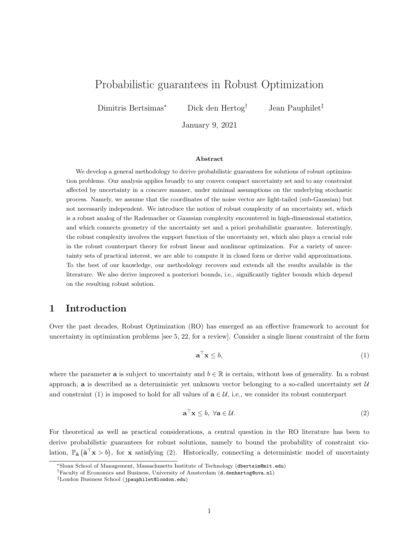# Probabilistic guarantees in Robust Optimization

Dimitris Bertsimas<sup>∗</sup> Dick den Hertog† Jean Pauphilet‡

January 9, 2021

#### Abstract

We develop a general methodology to derive probabilistic guarantees for solutions of robust optimization problems. Our analysis applies broadly to any convex compact uncertainty set and to any constraint affected by uncertainty in a concave manner, under minimal assumptions on the underlying stochastic process. Namely, we assume that the coordinates of the noise vector are light-tailed (sub-Gaussian) but not necessarily independent. We introduce the notion of robust complexity of an uncertainty set, which is a robust analog of the Rademacher or Gaussian complexity encountered in high-dimensional statistics, and which connects geometry of the uncertainty set and a priori probabilistic guarantee. Interestingly, the robust complexity involves the support function of the uncertainty set, which also plays a crucial role in the robust counterpart theory for robust linear and nonlinear optimization. For a variety of uncertainty sets of practical interest, we are able to compute it in closed form or derive valid approximations. To the best of our knowledge, our methodology recovers and extends all the results available in the literature. We also derive improved a posteriori bounds, i.e., significantly tighter bounds which depend on the resulting robust solution.

### 1 Introduction

Over the past decades, Robust Optimization (RO) has emerged as an effective framework to account for uncertainty in optimization problems [see 5, 22, for a review]. Consider a single linear constraint of the form

$$
\mathbf{a}^{\top}\mathbf{x} \le b,\tag{1}
$$

where the parameter **a** is subject to uncertainty and  $b \in \mathbb{R}$  is certain, without loss of generality. In a robust approach, a is described as a deterministic yet unknown vector belonging to a so-called uncertainty set  $U$ and constraint (1) is imposed to hold for all values of  $\mathbf{a} \in \mathcal{U}$ , i.e., we consider its robust counterpart

$$
\mathbf{a}^{\top}\mathbf{x} \le b, \ \forall \mathbf{a} \in \mathcal{U}.\tag{2}
$$

For theoretical as well as practical considerations, a central question in the RO literature has been to derive probabilistic guarantees for robust solutions, namely to bound the probability of constraint violation,  $\mathbb{P}_{\tilde{\mathbf{a}}}(\tilde{\mathbf{a}}^T \mathbf{x} > b)$ , for x satisfying (2). Historically, connecting a deterministic model of uncertainty

<sup>∗</sup>Sloan School of Management, Massachusetts Institute of Technology (dbertsim@mit.edu)

<sup>†</sup>Faculty of Economics and Business, University of Amsterdam (d.denhertog@uva.nl)

<sup>‡</sup>London Business School (jpauphilet@london.edu)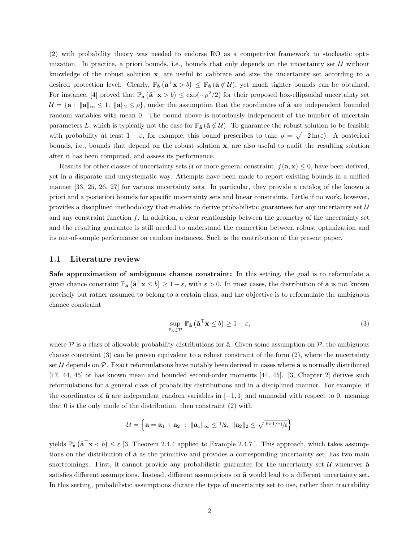(2) with probability theory was needed to endorse RO as a competitive framework to stochastic optimization. In practice, a priori bounds, i.e., bounds that only depends on the uncertainty set  $U$  without knowledge of the robust solution x, are useful to calibrate and size the uncertainty set according to a desired protection level. Clearly,  $\mathbb{P}_{\tilde{\mathbf{a}}}(\tilde{\mathbf{a}}^{\top}\mathbf{x}>b) \leq \mathbb{P}_{\tilde{\mathbf{a}}}(\tilde{\mathbf{a}}\notin\mathcal{U})$ , yet much tighter bounds can be obtained. For instance, [4] proved that  $\mathbb{P}_{\tilde{\mathbf{a}}}(\tilde{\mathbf{a}}^T \mathbf{x} > b) \leq \exp(-\rho^2/2)$  for their proposed box-ellipsoidal uncertainty set  $U = \{a : ||a||_{\infty} \leq 1, ||a||_{2} \leq \rho\}$ , under the assumption that the coordinates of  $\tilde{a}$  are independent bounded random variables with mean 0. The bound above is notoriously independent of the number of uncertain parameters L, which is typically not the case for  $\mathbb{P}_{\tilde{a}}(\tilde{a} \notin \mathcal{U})$ . To guarantee the robust solution to be feasible with probability at least  $1-\varepsilon$ , for example, this bound prescribes to take  $\rho = \sqrt{-2\ln(\varepsilon)}$ . A posteriori bounds, i.e., bounds that depend on the robust solution x, are also useful to audit the resulting solution after it has been computed, and assess its performance.

Results for other classes of uncertainty sets U or more general constraint,  $f(\mathbf{a}, \mathbf{x}) \leq 0$ , have been derived, yet in a disparate and unsystematic way. Attempts have been made to report existing bounds in a unified manner [33, 25, 26, 27] for various uncertainty sets. In particular, they provide a catalog of the known a priori and a posteriori bounds for specific uncertainty sets and linear constraints. Little if no work, however, provides a disciplined methodology that enables to derive probabilistic guarantees for any uncertainty set  $\mathcal U$ and any constraint function  $f$ . In addition, a clear relationship between the geometry of the uncertainty set and the resulting guarantee is still needed to understand the connection between robust optimization and its out-of-sample performance on random instances. Such is the contribution of the present paper.

### 1.1 Literature review

Safe approximation of ambiguous chance constraint: In this setting, the goal is to reformulate a given chance constraint  $\mathbb{P}_{\tilde{\mathbf{a}}}(\tilde{\mathbf{a}}^{\top}\mathbf{x} \leq b) \geq 1 - \varepsilon$ , with  $\varepsilon > 0$ . In most cases, the distribution of  $\tilde{\mathbf{a}}$  is not known precisely but rather assumed to belong to a certain class, and the objective is to reformulate the ambiguous chance constraint

$$
\sup_{\mathbb{P}_{\tilde{\mathbf{a}}}\in\mathcal{P}}\mathbb{P}_{\tilde{\mathbf{a}}}\left(\tilde{\mathbf{a}}^{\top}\mathbf{x}\leq b\right)\geq1-\varepsilon,
$$
\n(3)

where  $P$  is a class of allowable probability distributions for  $\tilde{a}$ . Given some assumption on  $P$ , the ambiguous chance constraint (3) can be proven equivalent to a robust constraint of the form (2), where the uncertainty set  $U$  depends on  $\mathcal{P}$ . Exact reformulations have notably been derived in cases where  $\tilde{\mathbf{a}}$  is normally distributed [17, 44, 45] or has known mean and bounded second-order moments [44, 45]. [3, Chapter 2] derives such reformulations for a general class of probability distributions and in a disciplined manner. For example, if the coordinates of  $\tilde{a}$  are independent random variables in  $[-1, 1]$  and unimodal with respect to 0, meaning that 0 is the only mode of the distribution, then constraint (2) with

$$
\mathcal{U} = \left\{ \mathbf{a} = \mathbf{a}_1 + \mathbf{a}_2 \; : \; \|\mathbf{a}_1\|_{\infty} \leq 1/2, \; \|\mathbf{a}_2\|_2 \leq \sqrt{\ln(1/\varepsilon)/6} \right\}
$$

yields  $\mathbb{P}_{\tilde{\mathbf{a}}}(\tilde{\mathbf{a}}^{\top}\mathbf{x} < b) \leq \varepsilon$  [3, Theorem 2.4.4 applied to Example 2.4.7.]. This approach, which takes assumptions on the distribution of  $\tilde{a}$  as the primitive and provides a corresponding uncertainty set, has two main shortcomings. First, it cannot provide any probabilistic guarantee for the uncertainty set  $\mathcal U$  whenever  $\tilde{\mathbf a}$ satisfies different assumptions. Instead, different assumptions on  $\tilde{a}$  would lead to a different uncertainty set. In this setting, probabilistic assumptions dictate the type of uncertainty set to use, rather than tractability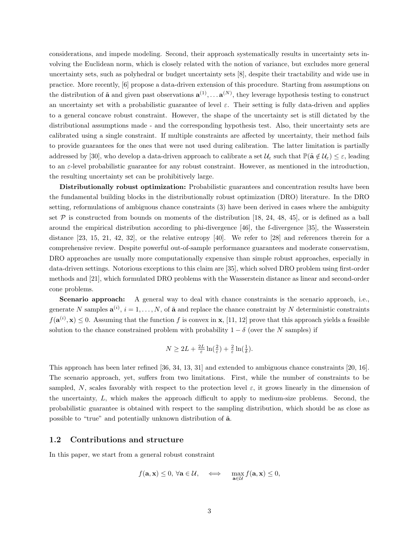considerations, and impede modeling. Second, their approach systematically results in uncertainty sets involving the Euclidean norm, which is closely related with the notion of variance, but excludes more general uncertainty sets, such as polyhedral or budget uncertainty sets [8], despite their tractability and wide use in practice. More recently, [6] propose a data-driven extension of this procedure. Starting from assumptions on the distribution of  $\tilde{\mathbf{a}}$  and given past observations  $\mathbf{a}^{(1)}, \dots \mathbf{a}^{(N)}$ , they leverage hypothesis testing to construct an uncertainty set with a probabilistic guarantee of level  $\varepsilon$ . Their setting is fully data-driven and applies to a general concave robust constraint. However, the shape of the uncertainty set is still dictated by the distributional assumptions made - and the corresponding hypothesis test. Also, their uncertainty sets are calibrated using a single constraint. If multiple constraints are affected by uncertainty, their method fails to provide guarantees for the ones that were not used during calibration. The latter limitation is partially addressed by [30], who develop a data-driven approach to calibrate a set  $\mathcal{U}_{\varepsilon}$  such that  $\mathbb{P}(\tilde{\mathbf{a}} \notin \mathcal{U}_{\varepsilon}) \leq \varepsilon$ , leading to an  $\varepsilon$ -level probabilistic guarantee for any robust constraint. However, as mentioned in the introduction, the resulting uncertainty set can be prohibitively large.

Distributionally robust optimization: Probabilistic guarantees and concentration results have been the fundamental building blocks in the distributionally robust optimization (DRO) literature. In the DRO setting, reformulations of ambiguous chance constraints (3) have been derived in cases where the ambiguity set  $P$  is constructed from bounds on moments of the distribution [18, 24, 48, 45], or is defined as a ball around the empirical distribution according to phi-divergence [46], the f-divergence [35], the Wasserstein distance [23, 15, 21, 42, 32], or the relative entropy [40]. We refer to [28] and references therein for a comprehensive review. Despite powerful out-of-sample performance guarantees and moderate conservatism, DRO approaches are usually more computationally expensive than simple robust approaches, especially in data-driven settings. Notorious exceptions to this claim are [35], which solved DRO problem using first-order methods and [21], which formulated DRO problems with the Wasserstein distance as linear and second-order cone problems.

Scenario approach: A general way to deal with chance constraints is the scenario approach, i.e., generate N samples  $\mathbf{a}^{(i)}$ ,  $i = 1, \ldots, N$ , of  $\tilde{\mathbf{a}}$  and replace the chance constraint by N deterministic constraints  $f(\mathbf{a}^{(i)}, \mathbf{x}) \leq 0$ . Assuming that the function f is convex in  $\mathbf{x}$ , [11, 12] prove that this approach yields a feasible solution to the chance constrained problem with probability  $1 - \delta$  (over the N samples) if

$$
N \ge 2L + \frac{2L}{\varepsilon} \ln(\frac{2}{\varepsilon}) + \frac{2}{\varepsilon} \ln(\frac{1}{\delta}).
$$

This approach has been later refined [36, 34, 13, 31] and extended to ambiguous chance constraints [20, 16]. The scenario approach, yet, suffers from two limitations. First, while the number of constraints to be sampled, N, scales favorably with respect to the protection level  $\varepsilon$ , it grows linearly in the dimension of the uncertainty, L, which makes the approach difficult to apply to medium-size problems. Second, the probabilistic guarantee is obtained with respect to the sampling distribution, which should be as close as possible to "true" and potentially unknown distribution of  $\tilde{a}$ .

### 1.2 Contributions and structure

In this paper, we start from a general robust constraint

$$
f(\mathbf{a}, \mathbf{x}) \leq 0, \forall \mathbf{a} \in \mathcal{U}, \Leftrightarrow \max_{\mathbf{a} \in \mathcal{U}} f(\mathbf{a}, \mathbf{x}) \leq 0,
$$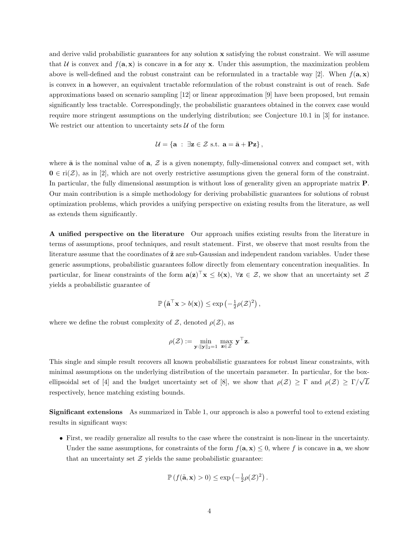and derive valid probabilistic guarantees for any solution x satisfying the robust constraint. We will assume that U is convex and  $f(\mathbf{a}, \mathbf{x})$  is concave in a for any x. Under this assumption, the maximization problem above is well-defined and the robust constraint can be reformulated in a tractable way [2]. When  $f(\mathbf{a}, \mathbf{x})$ is convex in a however, an equivalent tractable reformulation of the robust constraint is out of reach. Safe approximations based on scenario sampling [12] or linear approximation [9] have been proposed, but remain significantly less tractable. Correspondingly, the probabilistic guarantees obtained in the convex case would require more stringent assumptions on the underlying distribution; see Conjecture 10.1 in [3] for instance. We restrict our attention to uncertainty sets  $U$  of the form

$$
\mathcal{U} = \{ \mathbf{a} \; : \; \exists \mathbf{z} \in \mathcal{Z} \text{ s.t. } \mathbf{a} = \bar{\mathbf{a}} + \mathbf{P} \mathbf{z} \},
$$

where  $\bar{a}$  is the nominal value of  $a, Z$  is a given nonempty, fully-dimensional convex and compact set, with  $0 \in \text{ri}(\mathcal{Z})$ , as in [2], which are not overly restrictive assumptions given the general form of the constraint. In particular, the fully dimensional assumption is without loss of generality given an appropriate matrix P. Our main contribution is a simple methodology for deriving probabilistic guarantees for solutions of robust optimization problems, which provides a unifying perspective on existing results from the literature, as well as extends them significantly.

A unified perspective on the literature Our approach unifies existing results from the literature in terms of assumptions, proof techniques, and result statement. First, we observe that most results from the literature assume that the coordinates of  $\tilde{z}$  are sub-Gaussian and independent random variables. Under these generic assumptions, probabilistic guarantees follow directly from elementary concentration inequalities. In particular, for linear constraints of the form  $\mathbf{a}(\mathbf{z})^{\top}\mathbf{x} \leq b(\mathbf{x})$ ,  $\forall \mathbf{z} \in \mathcal{Z}$ , we show that an uncertainty set  $\mathcal{Z}$ yields a probabilistic guarantee of

$$
\mathbb{P}\left(\tilde{\mathbf{a}}^{\top}\mathbf{x} > b(\mathbf{x})\right) \le \exp\left(-\frac{1}{2}\rho(\mathcal{Z})^2\right),\,
$$

where we define the robust complexity of  $\mathcal{Z}$ , denoted  $\rho(\mathcal{Z})$ , as

$$
\rho(\mathcal{Z}):=\min_{\mathbf{y}: \|\mathbf{y}\|_2=1}\ \max_{\mathbf{z}\in\mathcal{Z}}\ \mathbf{y}^\top\mathbf{z}.
$$

This single and simple result recovers all known probabilistic guarantees for robust linear constraints, with minimal assumptions on the underlying distribution of the uncertain parameter. In particular, for the box-√ ellipsoidal set of [4] and the budget uncertainty set of [8], we show that  $\rho(\mathcal{Z}) \geq \Gamma$  and  $\rho(\mathcal{Z}) \geq \Gamma/\sqrt{L}$ respectively, hence matching existing bounds.

Significant extensions As summarized in Table 1, our approach is also a powerful tool to extend existing results in significant ways:

• First, we readily generalize all results to the case where the constraint is non-linear in the uncertainty. Under the same assumptions, for constraints of the form  $f(\mathbf{a}, \mathbf{x}) \leq 0$ , where f is concave in  $\mathbf{a}$ , we show that an uncertainty set  $\mathcal Z$  yields the same probabilistic guarantee:

$$
\mathbb{P}\left(f(\tilde{\mathbf{a}}, \mathbf{x}) > 0\right) \le \exp\left(-\frac{1}{2}\rho(\mathcal{Z})^2\right).
$$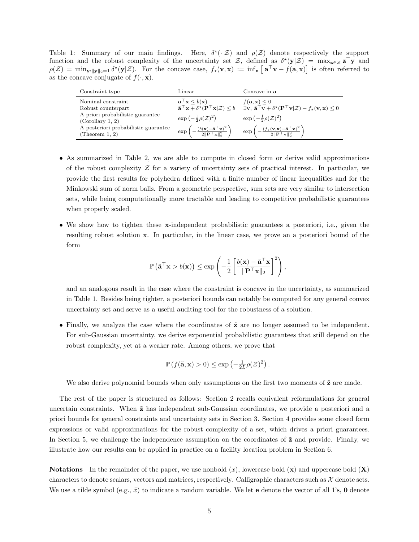Table 1: Summary of our main findings. Here,  $\delta^*(\cdot|\mathcal{Z})$  and  $\rho(\mathcal{Z})$  denote respectively the support function and the robust complexity of the uncertainty set Z, defined as  $\delta^*(y|\mathcal{Z}) = \max_{z \in \mathcal{Z}} z^\top y$  and  $\rho(\mathcal{Z}) = \min_{\mathbf{y}: \|\mathbf{y}\|_2 = 1} \delta^*(\mathbf{y}|\mathcal{Z})$ . For the concave case,  $f_{\star}(\mathbf{v}, \mathbf{x}) := \inf_{\mathbf{a}} [\mathbf{a}^\top \mathbf{v} - f(\mathbf{a}, \mathbf{x})]$  is often referred to as the concave conjugate of  $f(\cdot, \mathbf{x})$ .

| Constraint type                                          | Linear                                                                                                               | Concave in a                                                                                                                                                                                                                                                                                             |
|----------------------------------------------------------|----------------------------------------------------------------------------------------------------------------------|----------------------------------------------------------------------------------------------------------------------------------------------------------------------------------------------------------------------------------------------------------------------------------------------------------|
| Nominal constraint                                       | $\mathbf{a}^{\top}\mathbf{x} \leq b(\mathbf{x})$                                                                     | $f(\mathbf{a}, \mathbf{x}) \leq 0$<br>$\overline{\mathbf{a}}^{\top}\mathbf{x} + \delta^{\star}(\mathbf{P}^{\top}\mathbf{x} \mathcal{Z}) \leq b$ $\overline{\exists v, \mathbf{a}}^{\top}\mathbf{v} + \delta^{\star}(\mathbf{P}^{\top}\mathbf{v} \mathcal{Z}) - f_{\star}(\mathbf{v}, \mathbf{x}) \leq 0$ |
| Robust counterpart<br>A priori probabilistic guarantee   | $\exp\left(-\frac{1}{2}\rho(\mathcal{Z})^2\right)$                                                                   | $\exp\left(-\frac{1}{2}\rho(\mathcal{Z})^2\right)$                                                                                                                                                                                                                                                       |
| (Corollary 1, 2)<br>A posteriori probabilistic guarantee |                                                                                                                      |                                                                                                                                                                                                                                                                                                          |
| (Theorem 1, 2)                                           | $\exp\left(-\frac{(b(\mathbf{x})-\mathbf{\bar{a}}^{\top}\mathbf{x})^2}{2\ \mathbf{P}^{\top}\mathbf{x}\ _2^2}\right)$ | $\exp\left(-\frac{(f_{\star}(\mathbf{v}, \mathbf{x}) - \bar{\mathbf{a}}^{\top}\mathbf{v})^2}{2\ \mathbf{P}^{\top}\mathbf{v}\ _2^2}\right).$                                                                                                                                                              |

- As summarized in Table 2, we are able to compute in closed form or derive valid approximations of the robust complexity  $\mathcal Z$  for a variety of uncertainty sets of practical interest. In particular, we provide the first results for polyhedra defined with a finite number of linear inequalities and for the Minkowski sum of norm balls. From a geometric perspective, sum sets are very similar to intersection sets, while being computationally more tractable and leading to competitive probabilistic guarantees when properly scaled.
- We show how to tighten these x-independent probabilistic guarantees a posteriori, i.e., given the resulting robust solution x. In particular, in the linear case, we prove an a posteriori bound of the form

$$
\mathbb{P}\left(\tilde{\mathbf{a}}^{\top}\mathbf{x} > b(\mathbf{x})\right) \le \exp\left(-\frac{1}{2}\left[\frac{b(\mathbf{x}) - \bar{\mathbf{a}}^{\top}\mathbf{x}}{\|\mathbf{P}^{\top}\mathbf{x}\|_2}\right]^2\right),\,
$$

and an analogous result in the case where the constraint is concave in the uncertainty, as summarized in Table 1. Besides being tighter, a posteriori bounds can notably be computed for any general convex uncertainty set and serve as a useful auditing tool for the robustness of a solution.

• Finally, we analyze the case where the coordinates of  $\tilde{z}$  are no longer assumed to be independent. For sub-Gaussian uncertainty, we derive exponential probabilistic guarantees that still depend on the robust complexity, yet at a weaker rate. Among others, we prove that

$$
\mathbb{P}\left(f(\tilde{\mathbf{a}}, \mathbf{x}) > 0\right) \le \exp\left(-\frac{1}{2L}\rho(\mathcal{Z})^2\right).
$$

We also derive polynomial bounds when only assumptions on the first two moments of  $\tilde{z}$  are made.

The rest of the paper is structured as follows: Section 2 recalls equivalent reformulations for general uncertain constraints. When  $\tilde{z}$  has independent sub-Gaussian coordinates, we provide a posteriori and a priori bounds for general constraints and uncertainty sets in Section 3. Section 4 provides some closed form expressions or valid approximations for the robust complexity of a set, which drives a priori guarantees. In Section 5, we challenge the independence assumption on the coordinates of  $\tilde{z}$  and provide. Finally, we illustrate how our results can be applied in practice on a facility location problem in Section 6.

**Notations** In the remainder of the paper, we use nonbold  $(x)$ , lowercase bold  $(x)$  and uppercase bold  $(X)$ characters to denote scalars, vectors and matrices, respectively. Calligraphic characters such as  $\mathcal X$  denote sets. We use a tilde symbol (e.g.,  $\tilde{x}$ ) to indicate a random variable. We let **e** denote the vector of all 1's, **0** denote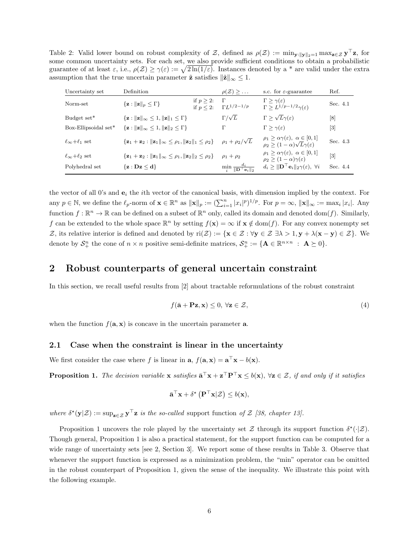Table 2: Valid lower bound on robust complexity of Z, defined as  $\rho(Z) := \min_{\mathbf{y}: ||\mathbf{y}||_2=1} \max_{\mathbf{z}\in\mathcal{Z}} \mathbf{y}^\top \mathbf{z}$ , for some common uncertainty sets. For each set, we also provide sufficient conditions to obtain a probabilistic guarantee of at least  $\varepsilon$ , i.e.,  $\rho(\mathcal{Z}) \geq \gamma(\varepsilon) := \sqrt{2\ln(1/\varepsilon)}$ . Instances denoted by a \* are valid under the extra assumption that the true uncertain parameter  $\tilde{z}$  satisfies  $\|\tilde{z}\|_{\infty} \leq 1$ .

| Uncertainty set              | Definition                                                                                                  |                              | $\rho(\mathcal{Z}) \geq \ldots$                         | s.c. for $\varepsilon$ -guarantee                                                                                   | Ref.              |
|------------------------------|-------------------------------------------------------------------------------------------------------------|------------------------------|---------------------------------------------------------|---------------------------------------------------------------------------------------------------------------------|-------------------|
| Norm-set                     | $\{z:   z  _p \leq \Gamma\}$                                                                                | if $p > 2$ :<br>if $p < 2$ : | $\Gamma$<br>$\Gamma L^{1/2-1/p}$                        | $\Gamma > \gamma(\varepsilon)$<br>$\Gamma \geq L^{1/p-1/2}\gamma(\varepsilon)$                                      | Sec. 4.1          |
| Budget set*                  | $\{z:   z  _{\infty} \leq 1,   z  _1 \leq \Gamma\}$                                                         |                              | $\Gamma/\sqrt{L}$                                       | $\Gamma \geq \sqrt{L}\gamma(\varepsilon)$                                                                           | [8]               |
| Box-Ellipsoidal set*         | $\{z:   z  _{\infty} \leq 1,   z  _2 \leq \Gamma\}$                                                         |                              | Г                                                       | $\Gamma > \gamma(\varepsilon)$                                                                                      | $\lceil 3 \rceil$ |
| $\ell_{\infty}+\ell_1$ set   | $\{z_1 + z_2 :   z_1  _{\infty} \leq \rho_1,   z_2  _1 \leq \rho_2\}$                                       |                              | $\rho_1 + \rho_2/\sqrt{L}$                              | $\rho_1 \geq \alpha \gamma(\varepsilon), \ \alpha \in [0,1]$<br>$\rho_2 \geq (1-\alpha)\sqrt{L}\gamma(\varepsilon)$ | Sec. 4.3          |
| $\ell_{\infty}+\ell_{2}$ set | $\{ \mathbf{z}_1 + \mathbf{z}_2 :   \mathbf{z}_1  _{\infty} \leq \rho_1,   \mathbf{z}_2  _2 \leq \rho_2 \}$ |                              | $\rho_1 + \rho_2$                                       | $\rho_1 \geq \alpha \gamma(\varepsilon), \ \alpha \in [0,1]$<br>$\rho_2 \geq (1-\alpha)\gamma(\varepsilon)$         | $[3]$             |
| Polyhedral set               | $\{z : Dz \leq d\}$                                                                                         |                              | $\min_i \frac{d_i}{\ \mathbf{D}^\top \mathbf{e}_i\ _2}$ | $d_i \geq \ \mathbf{D}^\top \mathbf{e}_i\ _2 \gamma(\varepsilon), \ \forall i$                                      | Sec. 4.4          |

the vector of all 0's and  $e_i$  the *i*th vector of the canonical basis, with dimension implied by the context. For any  $p \in \mathbb{N}$ , we define the  $\ell_p$ -norm of  $\mathbf{x} \in \mathbb{R}^n$  as  $\|\mathbf{x}\|_p := (\sum_{i=1}^n |x_i|^p)^{1/p}$ . For  $p = \infty$ ,  $\|\mathbf{x}\|_{\infty} := \max_i |x_i|$ . Any function  $f: \mathbb{R}^n \to \mathbb{R}$  can be defined on a subset of  $\mathbb{R}^n$  only, called its domain and denoted dom $(f)$ . Similarly, f can be extended to the whole space  $\mathbb{R}^n$  by setting  $f(\mathbf{x}) = \infty$  if  $\mathbf{x} \notin \text{dom}(f)$ . For any convex nonempty set Z, its relative interior is defined and denoted by  $ri(\mathcal{Z}) := \{ \mathbf{x} \in \mathcal{Z} : \forall \mathbf{y} \in \mathcal{Z} \exists \lambda > 1, \mathbf{y} + \lambda(\mathbf{x} - \mathbf{y}) \in \mathcal{Z} \}$ . We denote by  $S^n_+$  the cone of  $n \times n$  positive semi-definite matrices,  $S^n_+ := {\mathbf{A} \in \mathbb{R}^{n \times n} : \mathbf{A} \succeq 0}.$ 

# 2 Robust counterparts of general uncertain constraint

In this section, we recall useful results from [2] about tractable reformulations of the robust constraint

$$
f(\bar{\mathbf{a}} + \mathbf{P}\mathbf{z}, \mathbf{x}) \le 0, \forall \mathbf{z} \in \mathcal{Z},\tag{4}
$$

when the function  $f(\mathbf{a}, \mathbf{x})$  is concave in the uncertain parameter **a**.

### 2.1 Case when the constraint is linear in the uncertainty

We first consider the case where f is linear in  $\mathbf{a}, f(\mathbf{a}, \mathbf{x}) = \mathbf{a}^{\top}\mathbf{x} - b(\mathbf{x})$ .

**Proposition 1.** The decision variable **x** satisfies  $\bar{\mathbf{a}}^{\top}\mathbf{x} + \mathbf{z}^{\top}\mathbf{P}^{\top}\mathbf{x} \leq b(\mathbf{x})$ ,  $\forall \mathbf{z} \in \mathcal{Z}$ , if and only if it satisfies

$$
\bar{\mathbf{a}}^{\top}\mathbf{x} + \delta^{\star}\left(\mathbf{P}^{\top}\mathbf{x}|\mathcal{Z}\right) \leq b(\mathbf{x}),
$$

where  $\delta^*(\mathbf{y}|\mathcal{Z}) := \sup_{\mathbf{z} \in \mathcal{Z}} \mathbf{y}^\top \mathbf{z}$  is the so-called support function of  $\mathcal{Z}$  [38, chapter 13].

Proposition 1 uncovers the role played by the uncertainty set  $\mathcal Z$  through its support function  $\delta^*(\cdot|\mathcal Z)$ . Though general, Proposition 1 is also a practical statement, for the support function can be computed for a wide range of uncertainty sets [see 2, Section 3]. We report some of these results in Table 3. Observe that whenever the support function is expressed as a minimization problem, the "min" operator can be omitted in the robust counterpart of Proposition 1, given the sense of the inequality. We illustrate this point with the following example.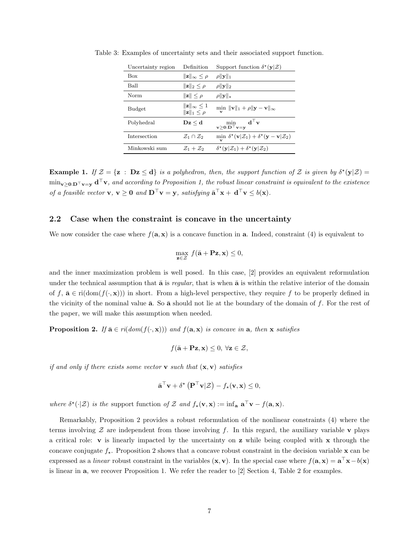| Uncertainty region | Definition                                                       | Support function $\delta^{\star}(\mathbf{y} \mathcal{Z})$                                              |
|--------------------|------------------------------------------------------------------|--------------------------------------------------------------------------------------------------------|
| <b>Box</b>         | $\ \mathbf{z}\ _{\infty} \leq \rho$                              | $\rho$    <b>y</b>   1                                                                                 |
| Ball               | $\ \mathbf{z}\ _2 \leq \rho$                                     | $\rho$    <b>y</b>   2                                                                                 |
| Norm               | $\ \mathbf{z}\  \leq \rho$                                       | $\rho$    <b>y</b>    $\star$                                                                          |
| Budget             | $\ \mathbf{z}\ _{\infty} \leq 1$<br>$\ \mathbf{z}\ _1 \leq \rho$ | $\min$ $\ \mathbf{v}\ _1 + \rho \ \mathbf{y} - \mathbf{v}\ _{\infty}$                                  |
| Polyhedral         | $\mathbf{D}\mathbf{z}\leq \mathbf{d}$                            | $\mathbf{d}^{\top}\mathbf{v}$<br>min<br>$\mathbf{v} > 0$ : $\mathbf{D}^\top \mathbf{v} = \mathbf{y}$   |
| Intersection       | $\mathcal{Z}_1 \cap \mathcal{Z}_2$                               | min $\delta^{\star}(\mathbf{v} \mathcal{Z}_1) + \delta^{\star}(\mathbf{y} - \mathbf{v} \mathcal{Z}_2)$ |
| Minkowski sum      | $\mathcal{Z}_1+\mathcal{Z}_2$                                    | $\delta^{\star}(\mathbf{y} \mathcal{Z}_1) + \delta^{\star}(\mathbf{y} \mathcal{Z}_2)$                  |

Table 3: Examples of uncertainty sets and their associated support function.

**Example 1.** If  $\mathcal{Z} = \{z : Dz \le d\}$  is a polyhedron, then, the support function of  $\mathcal{Z}$  is given by  $\delta^*(y|\mathcal{Z}) =$  $\min_{\mathbf{v}\geq 0:\mathbf{D}^\top\mathbf{v}=\mathbf{y}}\mathbf{d}^\top\mathbf{v}$ , and according to Proposition 1, the robust linear constraint is equivalent to the existence of a feasible vector  $\mathbf{v}, \mathbf{v} \geq \mathbf{0}$  and  $\mathbf{D}^\top \mathbf{v} = \mathbf{y}$ , satisfying  $\bar{\mathbf{a}}^\top \mathbf{x} + \mathbf{d}^\top \mathbf{v} \leq b(\mathbf{x})$ .

### 2.2 Case when the constraint is concave in the uncertainty

We now consider the case where  $f(\mathbf{a}, \mathbf{x})$  is a concave function in **a**. Indeed, constraint (4) is equivalent to

$$
\max_{\mathbf{z}\in\mathcal{Z}}\,f(\bar{\mathbf{a}}+\mathbf{P}\mathbf{z},\mathbf{x})\leq 0,
$$

and the inner maximization problem is well posed. In this case, [2] provides an equivalent reformulation under the technical assumption that  $\bar{a}$  is regular, that is when  $\bar{a}$  is within the relative interior of the domain of f,  $\bar{\mathbf{a}} \in \text{ri}(\text{dom}(f(\cdot, \mathbf{x})))$  in short. From a high-level perspective, they require f to be properly defined in the vicinity of the nominal value  $\bar{a}$ . So  $\bar{a}$  should not lie at the boundary of the domain of f. For the rest of the paper, we will make this assumption when needed.

**Proposition 2.** If  $\bar{\mathbf{a}} \in ri(dom(f(\cdot, \mathbf{x})))$  and  $f(\mathbf{a}, \mathbf{x})$  is concave in  $\mathbf{a}$ , then  $\mathbf{x}$  satisfies

$$
f(\bar{\mathbf{a}} + \mathbf{P}\mathbf{z}, \mathbf{x}) \leq 0, \ \forall \mathbf{z} \in \mathcal{Z},
$$

if and only if there exists some vector **v** such that  $(\mathbf{x}, \mathbf{v})$  satisfies

$$
\bar{\mathbf{a}}^{\top}\mathbf{v} + \delta^{\star}\left(\mathbf{P}^{\top}\mathbf{v}|\mathcal{Z}\right) - f_{\star}(\mathbf{v}, \mathbf{x}) \leq 0,
$$

where  $\delta^*(\cdot|\mathcal{Z})$  is the support function of Z and  $f_{\star}(\mathbf{v}, \mathbf{x}) := \inf_{\mathbf{a}} \mathbf{a}^{\top} \mathbf{v} - f(\mathbf{a}, \mathbf{x}).$ 

Remarkably, Proposition 2 provides a robust reformulation of the nonlinear constraints (4) where the terms involving  $\mathcal Z$  are independent from those involving f. In this regard, the auxiliary variable v plays a critical role:  $\bf{v}$  is linearly impacted by the uncertainty on  $\bf{z}$  while being coupled with  $\bf{x}$  through the concave conjugate  $f_{\star}$ . Proposition 2 shows that a concave robust constraint in the decision variable x can be expressed as a *linear* robust constraint in the variables  $(\mathbf{x}, \mathbf{v})$ . In the special case where  $f(\mathbf{a}, \mathbf{x}) = \mathbf{a}^\top \mathbf{x} - b(\mathbf{x})$ is linear in a, we recover Proposition 1. We refer the reader to [2] Section 4, Table 2 for examples.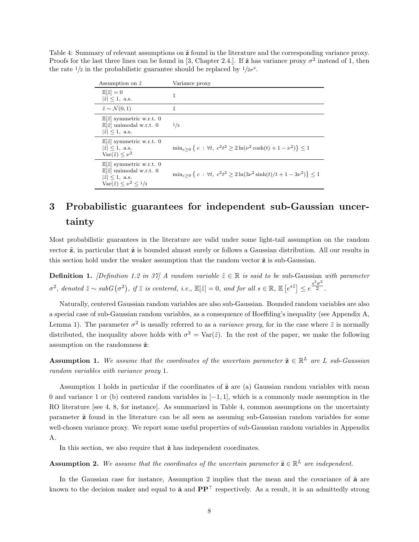Table 4: Summary of relevant assumptions on  $\tilde{z}$  found in the literature and the corresponding variance proxy. Proofs for the last three lines can be found in [3, Chapter 2.4.]. If  $\tilde{z}$  has variance proxy  $\sigma^2$  instead of 1, then the rate  $\frac{1}{2}$  in the probabilistic guarantee should be replaced by  $\frac{1}{2}\sigma^2$ .

| Assumption on $\tilde{z}$                                                                                                                                             | Variance proxy                                                                         |
|-----------------------------------------------------------------------------------------------------------------------------------------------------------------------|----------------------------------------------------------------------------------------|
| $\mathbb{E}[\tilde{z}] = 0$<br>$ \tilde{z}  \leq 1$ , a.s.                                                                                                            | 1                                                                                      |
| $\tilde{z} \sim \mathcal{N}(0,1)$                                                                                                                                     | 1                                                                                      |
| $\mathbb{E}[\tilde{z}]$ symmetric w.r.t. 0<br>$\mathbb{E}[\tilde{z}]$ unimodal w.r.t. 0<br>$ \tilde{z}  \leq 1$ , a.s.                                                | 1/3                                                                                    |
| $\mathbb{E} \tilde{z} $ symmetric w.r.t. 0<br>$ \tilde{z}  \leq 1$ , a.s.<br>$\text{Var}(\tilde{z}) \leq \nu^2$                                                       | $\min_{c>0} \{ c : \forall t, c^2t^2 \geq 2 \ln(\nu^2 \cosh(t) + 1 - \nu^2) \} \leq 1$ |
| $\mathbb{E} \tilde{z} $ symmetric w.r.t. 0<br>$\mathbb{E}[\tilde{z}]$ unimodal w.r.t. 0<br>$ \tilde{z}  \leq 1$ , a.s.<br>$\text{Var}(\tilde{z}) \leq \nu^2 \leq 1/3$ | $\min_{c>0} \{c : \forall t, c^2t^2 \geq 2\ln(3\nu^2\sinh(t)/t+1-3\nu^2)\} \leq 1$     |

# 3 Probabilistic guarantees for independent sub-Gaussian uncertainty

Most probabilistic guarantees in the literature are valid under some light-tail assumption on the random vector  $\tilde{z}$ , in particular that  $\tilde{z}$  is bounded almost surely or follows a Gaussian distribution. All our results in this section hold under the weaker assumption that the random vector  $\tilde{z}$  is sub-Gaussian.

**Definition 1.** [Definition 1.2 in 37] A random variable  $\tilde{z} \in \mathbb{R}$  is said to be sub-Gaussian with parameter  $\sigma^2$ , denoted  $\tilde{z} \sim subG(\sigma^2)$ , if  $\tilde{z}$  is centered, i.e.,  $\mathbb{E}[\tilde{z}] = 0$ , and for all  $s \in \mathbb{R}$ ,  $\mathbb{E}[e^{s\tilde{z}}] \leq e^{\frac{s^2\sigma^2}{2}}$ .

Naturally, centered Gaussian random variables are also sub-Gaussian. Bounded random variables are also a special case of sub-Gaussian random variables, as a consequence of Hoeffding's inequality (see Appendix A, Lemma 1). The parameter  $\sigma^2$  is usually referred to as a *variance proxy*, for in the case where  $\tilde{z}$  is normally distributed, the inequality above holds with  $\sigma^2 = \text{Var}(\tilde{z})$ . In the rest of the paper, we make the following assumption on the randomness  $\tilde{z}$ :

**Assumption 1.** We assume that the coordinates of the uncertain parameter  $\tilde{\mathbf{z}} \in \mathbb{R}^L$  are L sub-Gaussian random variables with variance proxy 1.

Assumption 1 holds in particular if the coordinates of  $\tilde{z}$  are (a) Gaussian random variables with mean 0 and variance 1 or (b) centered random variables in  $[-1, 1]$ , which is a commonly made assumption in the RO literature [see 4, 8, for instance]. As summarized in Table 4, common assumptions on the uncertainty parameter  $\tilde{z}$  found in the literature can be all seen as assuming sub-Gaussian random variables for some well-chosen variance proxy. We report some useful properties of sub-Gaussian random variables in Appendix A.

In this section, we also require that  $\tilde{z}$  has independent coordinates.

**Assumption 2.** We assume that the coordinates of the uncertain parameter  $\tilde{\mathbf{z}} \in \mathbb{R}^L$  are independent.

In the Gaussian case for instance, Assumption 2 implies that the mean and the covariance of  $\tilde{a}$  are known to the decision maker and equal to  $\bar{\mathbf{a}}$  and  $\mathbf{P}\mathbf{P}^{\top}$  respectively. As a result, it is an admittedly strong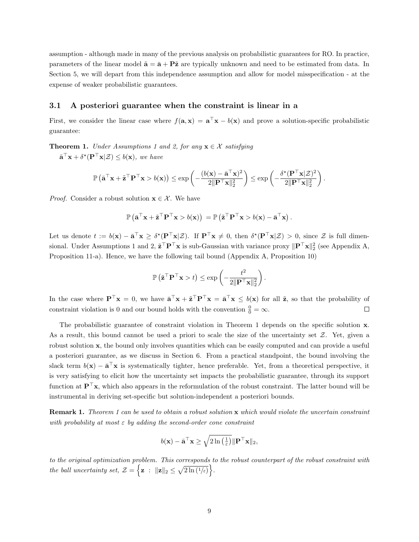assumption - although made in many of the previous analysis on probabilistic guarantees for RO. In practice, parameters of the linear model  $\tilde{\mathbf{a}} = \bar{\mathbf{a}} + \mathbf{P}\tilde{\mathbf{z}}$  are typically unknown and need to be estimated from data. In Section 5, we will depart from this independence assumption and allow for model misspecification - at the expense of weaker probabilistic guarantees.

### 3.1 A posteriori guarantee when the constraint is linear in a

First, we consider the linear case where  $f(\mathbf{a}, \mathbf{x}) = \mathbf{a}^\top \mathbf{x} - b(\mathbf{x})$  and prove a solution-specific probabilistic guarantee:

**Theorem 1.** Under Assumptions 1 and 2, for any  $x \in \mathcal{X}$  satisfying

 $\bar{\mathbf{a}}^{\top}\mathbf{x} + \delta^{\star}(\mathbf{P}^{\top}\mathbf{x}|\mathcal{Z}) \leq b(\mathbf{x}),$  we have

$$
\mathbb{P}\left(\bar{\mathbf{a}}^{\top}\mathbf{x} + \tilde{\mathbf{z}}^{\top}\mathbf{P}^{\top}\mathbf{x} > b(\mathbf{x})\right) \le \exp\left(-\frac{(b(\mathbf{x}) - \bar{\mathbf{a}}^{\top}\mathbf{x})^2}{2\|\mathbf{P}^{\top}\mathbf{x}\|_2^2}\right) \le \exp\left(-\frac{\delta^{\star}(\mathbf{P}^{\top}\mathbf{x}|\mathcal{Z})^2}{2\|\mathbf{P}^{\top}\mathbf{x}\|_2^2}\right).
$$

*Proof.* Consider a robust solution  $\mathbf{x} \in \mathcal{X}$ . We have

$$
\mathbb{P}\left(\bar{\mathbf{a}}^{\top}\mathbf{x} + \tilde{\mathbf{z}}^{\top}\mathbf{P}^{\top}\mathbf{x} > b(\mathbf{x})\right) = \mathbb{P}\left(\tilde{\mathbf{z}}^{\top}\mathbf{P}^{\top}\mathbf{x} > b(\mathbf{x}) - \bar{\mathbf{a}}^{\top}\mathbf{x}\right).
$$

Let us denote  $t := b(\mathbf{x}) - \bar{\mathbf{a}}^\top \mathbf{x} \geq \delta^*(\mathbf{P}^\top \mathbf{x} | \mathcal{Z})$ . If  $\mathbf{P}^\top \mathbf{x} \neq 0$ , then  $\delta^*(\mathbf{P}^\top \mathbf{x} | \mathcal{Z}) > 0$ , since  $\mathcal{Z}$  is full dimensional. Under Assumptions 1 and 2,  $\tilde{\mathbf{z}}^\top \mathbf{P}^\top \mathbf{x}$  is sub-Gaussian with variance proxy  $\|\mathbf{P}^\top \mathbf{x}\|_2^2$  (see Appendix A, Proposition 11-a). Hence, we have the following tail bound (Appendix A, Proposition 10)

$$
\mathbb{P}\left(\tilde{\mathbf{z}}^{\top}\mathbf{P}^{\top}\mathbf{x} > t\right) \leq \exp\left(-\frac{t^2}{2\|\mathbf{P}^{\top}\mathbf{x}\|_2^2}\right).
$$

In the case where  $\mathbf{P}^\top \mathbf{x} = 0$ , we have  $\bar{\mathbf{a}}^\top \mathbf{x} + \tilde{\mathbf{z}}^\top \mathbf{P}^\top \mathbf{x} = \bar{\mathbf{a}}^\top \mathbf{x} \leq b(\mathbf{x})$  for all  $\tilde{\mathbf{z}}$ , so that the probability of constraint violation is 0 and our bound holds with the convention  $\frac{0}{0} = \infty$ .  $\Box$ 

The probabilistic guarantee of constraint violation in Theorem 1 depends on the specific solution x. As a result, this bound cannot be used a priori to scale the size of the uncertainty set  $\mathcal{Z}$ . Yet, given a robust solution x, the bound only involves quantities which can be easily computed and can provide a useful a posteriori guarantee, as we discuss in Section 6. From a practical standpoint, the bound involving the slack term  $b(\mathbf{x}) - \bar{\mathbf{a}}^{\top}\mathbf{x}$  is systematically tighter, hence preferable. Yet, from a theoretical perspective, it is very satisfying to elicit how the uncertainty set impacts the probabilistic guarantee, through its support function at  $\mathbf{P}^{\top}\mathbf{x}$ , which also appears in the reformulation of the robust constraint. The latter bound will be instrumental in deriving set-specific but solution-independent a posteriori bounds.

**Remark 1.** Theorem 1 can be used to obtain a robust solution x which would violate the uncertain constraint with probability at most  $\varepsilon$  by adding the second-order cone constraint

$$
b(\mathbf{x}) - \bar{\mathbf{a}}^{\top}\mathbf{x} \ge \sqrt{2\ln\left(\frac{1}{\varepsilon}\right)} \|\mathbf{P}^{\top}\mathbf{x}\|_2,
$$

to the original optimization problem. This corresponds to the robust counterpart of the robust constraint with the ball uncertainty set,  $\mathcal{Z} = \{ \mathbf{z} : ||\mathbf{z}||_2 \leq \sqrt{2\ln(1/\varepsilon)} \}.$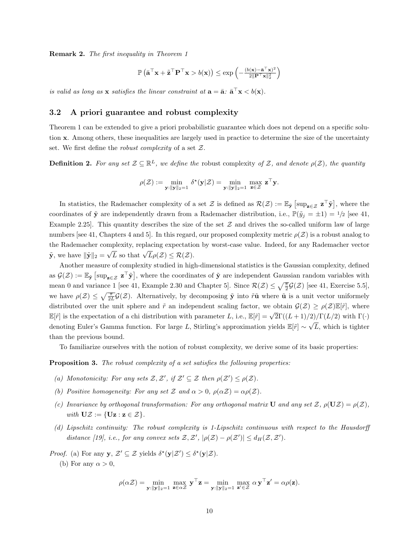Remark 2. The first inequality in Theorem 1

$$
\mathbb{P}\left(\bar{\mathbf{a}}^{\top}\mathbf{x} + \tilde{\mathbf{z}}^{\top}\mathbf{P}^{\top}\mathbf{x} > b(\mathbf{x})\right) \le \exp\left(-\frac{(b(\mathbf{x}) - \bar{\mathbf{a}}^{\top}\mathbf{x})^2}{2\|\mathbf{P}^{\top}\mathbf{x}\|_2^2}\right)
$$

is valid as long as **x** satisfies the linear constraint at  $\mathbf{a} = \bar{\mathbf{a}}$ :  $\bar{\mathbf{a}}^{\top} \mathbf{x} < b(\mathbf{x})$ .

### 3.2 A priori guarantee and robust complexity

Theorem 1 can be extended to give a priori probabilistic guarantee which does not depend on a specific solution x. Among others, these inequalities are largely used in practice to determine the size of the uncertainty set. We first define the *robust complexity* of a set  $\mathcal{Z}$ .

**Definition 2.** For any set  $\mathcal{Z} \subseteq \mathbb{R}^L$ , we define the robust complexity of Z, and denote  $\rho(\mathcal{Z})$ , the quantity

$$
\rho(\mathcal{Z}) := \min_{\mathbf{y}: \|\mathbf{y}\|_2 = 1} \delta^{\star}(\mathbf{y}|\mathcal{Z}) = \min_{\mathbf{y}: \|\mathbf{y}\|_2 = 1} \max_{\mathbf{z} \in \mathcal{Z}} \mathbf{z}^{\top} \mathbf{y}.
$$

In statistics, the Rademacher complexity of a set  $\mathcal Z$  is defined as  $\mathcal R(\mathcal Z) := \mathbb E_{\tilde{\mathbf{y}}}\left[\sup_{\mathbf{z}\in\mathcal Z} \mathbf{z}^\top \tilde{\mathbf{y}}\right]$ , where the coordinates of  $\tilde{\mathbf{y}}$  are independently drawn from a Rademacher distribution, i.e.,  $\mathbb{P}(\tilde{y}_j = \pm 1) = \frac{1}{2}$  [see 41, Example 2.25. This quantity describes the size of the set  $\mathcal Z$  and drives the so-called uniform law of large numbers [see 41, Chapters 4 and 5]. In this regard, our proposed complexity metric  $\rho(\mathcal{Z})$  is a robust analog to the Rademacher complexity, replacing expectation by worst-case value. Indeed, for any Rademacher vector  $\tilde{\mathbf{y}},$  we have  $\|\tilde{\mathbf{y}}\|_2 =$  $\sqrt{L}$  so that  $\sqrt{L}$ ρ(Z) ≤ R(Z).

Another measure of complexity studied in high-dimensional statistics is the Gaussian complexity, defined as  $\mathcal{G}(\mathcal{Z}) := \mathbb{E}_{\tilde{\mathbf{y}}} \left[ \sup_{\mathbf{z} \in \mathcal{Z}} \mathbf{z}^{\top} \tilde{\mathbf{y}} \right]$ , where the coordinates of  $\tilde{\mathbf{y}}$  are independent Gaussian random variables with mean 0 and variance 1 [see 41, Example 2.30 and Chapter 5]. Since  $\mathcal{R}(\mathcal{Z}) \leq \sqrt{\frac{\pi}{2}} \mathcal{G}(\mathcal{Z})$  [see 41, Exercise 5.5], we have  $\rho(\mathcal{Z}) \leq \sqrt{\frac{\pi}{2L}} \mathcal{G}(\mathcal{Z})$ . Alternatively, by decomposing  $\tilde{\mathbf{y}}$  into  $\tilde{r}\tilde{\mathbf{u}}$  where  $\tilde{\mathbf{u}}$  is a unit vector uniformely distributed over the unit sphere and  $\tilde{r}$  an independent scaling factor, we obtain  $\mathcal{G}(\mathcal{Z}) \geq \rho(\mathcal{Z}) \mathbb{E}[\tilde{r}]$ , where  $\mathbb{E}[\tilde{r}]$  is the expectation of a chi distribution with parameter L, i.e.,  $\mathbb{E}[\tilde{r}] = \sqrt{2}\Gamma((L+1)/2)/\Gamma(L/2)$  with  $\Gamma(\cdot)$ denoting Euler's Gamma function. For large L, Stirling's approximation yields  $\mathbb{E}[\tilde{r}] \sim \sqrt{\frac{\text{det}(r)}{r}}$ L, which is tighter than the previous bound.

To familiarize ourselves with the notion of robust complexity, we derive some of its basic properties:

Proposition 3. The robust complexity of a set satisfies the following properties:

- (a) Monotonicity: For any sets  $\mathcal{Z}, \mathcal{Z}'$ , if  $\mathcal{Z}' \subseteq \mathcal{Z}$  then  $\rho(\mathcal{Z}') \leq \rho(\mathcal{Z})$ .
- (b) Positive homogeneity: For any set Z and  $\alpha > 0$ ,  $\rho(\alpha \mathcal{Z}) = \alpha \rho(\mathcal{Z})$ .
- (c) Invariance by orthogonal transformation: For any orthogonal matrix U and any set Z,  $\rho(UZ) = \rho(Z)$ , with  $\mathbf{UZ} := \{ \mathbf{Uz} : \mathbf{z} \in \mathcal{Z} \}.$
- (d) Lipschitz continuity: The robust complexity is 1-Lipschitz continuous with respect to the Hausdorff distance [19], i.e., for any convex sets  $\mathcal{Z}, \mathcal{Z}', |\rho(\mathcal{Z}) - \rho(\mathcal{Z}')| \leq d_H(\mathcal{Z}, \mathcal{Z}').$

*Proof.* (a) For any  $y$ ,  $\mathcal{Z}' \subseteq \mathcal{Z}$  yields  $\delta^*(y|\mathcal{Z}') \leq \delta^*(y|\mathcal{Z})$ .

(b) For any  $\alpha > 0$ ,

$$
\rho(\alpha \mathcal{Z}) = \min_{\mathbf{y}: \|\mathbf{y}\|_2 = 1} \max_{\mathbf{z} \in \alpha \mathcal{Z}} \mathbf{y}^\top \mathbf{z} = \min_{\mathbf{y}: \|\mathbf{y}\|_2 = 1} \max_{\mathbf{z}' \in \mathcal{Z}} \alpha \mathbf{y}^\top \mathbf{z}' = \alpha \rho(\mathbf{z}).
$$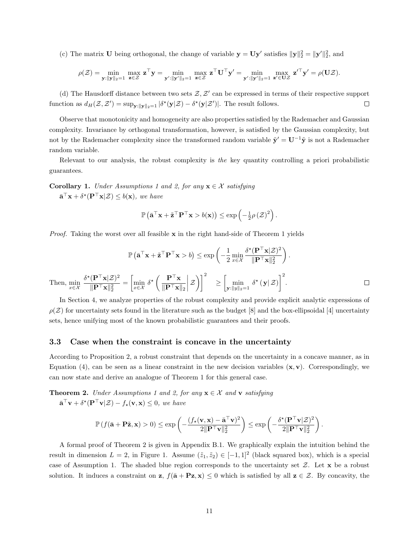(c) The matrix **U** being orthogonal, the change of variable  $\mathbf{y} = \mathbf{U}\mathbf{y}'$  satisfies  $\|\mathbf{y}\|_2^2 = \|\mathbf{y}'\|_2^2$ , and

$$
\rho(\mathcal{Z}) = \min_{\mathbf{y}: \|\mathbf{y}\|_2 = 1} \max_{\mathbf{z} \in \mathcal{Z}} \mathbf{z}^\top \mathbf{y} = \min_{\mathbf{y}': \|\mathbf{y}'\|_2 = 1} \max_{\mathbf{z} \in \mathcal{Z}} \mathbf{z}^\top \mathbf{U}^\top \mathbf{y}' = \min_{\mathbf{y}': \|\mathbf{y}'\|_2 = 1} \max_{\mathbf{z}' \in \mathbf{UZ}} \mathbf{z}'^\top \mathbf{y}' = \rho(\mathbf{UZ}).
$$

(d) The Hausdorff distance between two sets  $\mathcal{Z}, \mathcal{Z}'$  can be expressed in terms of their respective support function as  $d_H(\mathcal{Z}, \mathcal{Z}') = \sup_{\mathbf{y}: \|\mathbf{y}\|_2 = 1} |\delta^*(\mathbf{y}|\mathcal{Z}) - \delta^*(\mathbf{y}|\mathcal{Z}')|$ . The result follows.  $\Box$ 

Observe that monotonicity and homogeneity are also properties satisfied by the Rademacher and Gaussian complexity. Invariance by orthogonal transformation, however, is satisfied by the Gaussian complexity, but not by the Rademacher complexity since the transformed random variable  $\tilde{\mathbf{y}}' = \mathbf{U}^{-1} \tilde{\mathbf{y}}$  is not a Rademacher random variable.

Relevant to our analysis, the robust complexity is the key quantity controlling a priori probabilistic guarantees.

**Corollary 1.** Under Assumptions 1 and 2, for any  $x \in \mathcal{X}$  satisfying

 $\bar{\mathbf{a}}^{\top}\mathbf{x} + \delta^{\star}(\mathbf{P}^{\top}\mathbf{x}|\mathcal{Z}) \leq b(\mathbf{x}),$  we have

$$
\mathbb{P}\left(\bar{\mathbf{a}}^{\top}\mathbf{x} + \tilde{\mathbf{z}}^{\top}\mathbf{P}^{\top}\mathbf{x} > b(\mathbf{x})\right) \le \exp\left(-\frac{1}{2}\rho\left(\mathcal{Z}\right)^2\right).
$$

*Proof.* Taking the worst over all feasible  $x$  in the right hand-side of Theorem 1 yields

$$
\mathbb{P}\left(\bar{\mathbf{a}}^{\top}\mathbf{x} + \tilde{\mathbf{z}}^{\top}\mathbf{P}^{\top}\mathbf{x} > b\right) \le \exp\left(-\frac{1}{2}\min_{x \in \mathcal{X}} \frac{\delta^{\star}(\mathbf{P}^{\top}\mathbf{x}|\mathcal{Z})^{2}}{\|\mathbf{P}^{\top}\mathbf{x}\|_{2}^{2}}\right).
$$
  
Then, 
$$
\min_{x \in \mathcal{X}} \frac{\delta^{\star}(\mathbf{P}^{\top}\mathbf{x}|\mathcal{Z})^{2}}{\|\mathbf{P}^{\top}\mathbf{x}\|_{2}^{2}} = \left[\min_{x \in \mathcal{X}} \delta^{\star}\left(\frac{\mathbf{P}^{\top}\mathbf{x}}{\|\mathbf{P}^{\top}\mathbf{x}\|_{2}}\right|\mathcal{Z}\right)\right]^{2} \ge \left[\min_{\mathbf{y}: \|\mathbf{y}\|_{2} = 1} \delta^{\star}\left(\mathbf{y}|\mathcal{Z}\right)\right]^{2}.
$$

In Section 4, we analyze properties of the robust complexity and provide explicit analytic expressions of  $\rho(\mathcal{Z})$  for uncertainty sets found in the literature such as the budget [8] and the box-ellipsoidal [4] uncertainty sets, hence unifying most of the known probabilistic guarantees and their proofs.

### 3.3 Case when the constraint is concave in the uncertainty

According to Proposition 2, a robust constraint that depends on the uncertainty in a concave manner, as in Equation (4), can be seen as a linear constraint in the new decision variables  $(x, y)$ . Correspondingly, we can now state and derive an analogue of Theorem 1 for this general case.

**Theorem 2.** Under Assumptions 1 and 2, for any  $x \in \mathcal{X}$  and v satisfying  $\bar{\mathbf{a}}^{\top}\mathbf{v} + \delta^{\star}(\mathbf{P}^{\top}\mathbf{v}|\mathcal{Z}) - f_{\star}(\mathbf{v}, \mathbf{x}) \leq 0$ , we have

$$
\mathbb{P}\left(f(\bar{\mathbf{a}}+\mathbf{P}\tilde{\mathbf{z}},\mathbf{x})>0\right)\leq \exp\left(-\frac{(f_{\star}(\mathbf{v},\mathbf{x})-\bar{\mathbf{a}}^{\top}\mathbf{v})^{2}}{2\|\mathbf{P}^{\top}\mathbf{v}\|_{2}^{2}}\right)\leq \exp\left(-\frac{\delta^{\star}(\mathbf{P}^{\top}\mathbf{v}|\mathcal{Z})^{2}}{2\|\mathbf{P}^{\top}\mathbf{v}\|_{2}^{2}}\right).
$$

A formal proof of Theorem 2 is given in Appendix B.1. We graphically explain the intuition behind the result in dimension  $L = 2$ , in Figure 1. Assume  $(\tilde{z}_1, \tilde{z}_2) \in [-1, 1]^2$  (black squared box), which is a special case of Assumption 1. The shaded blue region corresponds to the uncertainty set  $Z$ . Let  $x$  be a robust solution. It induces a constraint on  $z$ ,  $f(\bar{a} + Pz, x) \leq 0$  which is satisfied by all  $z \in \mathcal{Z}$ . By concavity, the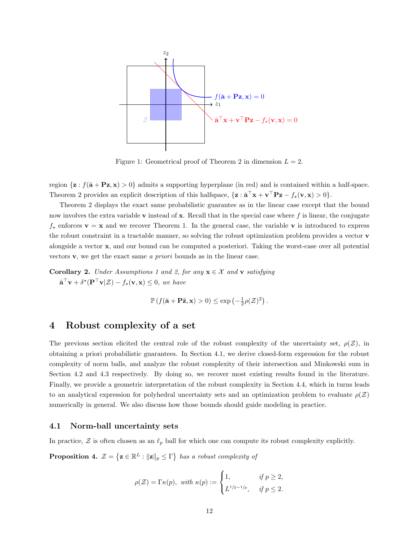

Figure 1: Geometrical proof of Theorem 2 in dimension  $L = 2$ .

region  $\{z : f(\bar{a} + Pz, x) > 0\}$  admits a supporting hyperplane (in red) and is contained within a half-space. Theorem 2 provides an explicit description of this halfspace,  $\{z : \bar{a}^\top x + v^\top P z - f_x(v, x) > 0\}.$ 

Theorem 2 displays the exact same probabilistic guarantee as in the linear case except that the bound now involves the extra variable  $\bf{v}$  instead of  $\bf{x}$ . Recall that in the special case where  $f$  is linear, the conjugate  $f_{\star}$  enforces  $\mathbf{v} = \mathbf{x}$  and we recover Theorem 1. In the general case, the variable v is introduced to express the robust constraint in a tractable manner, so solving the robust optimization problem provides a vector v alongside a vector x, and our bound can be computed a posteriori. Taking the worst-case over all potential vectors v, we get the exact same a priori bounds as in the linear case.

**Corollary 2.** Under Assumptions 1 and 2, for any  $\mathbf{x} \in \mathcal{X}$  and v satisfying  $\bar{\mathbf{a}}^{\top}\mathbf{v} + \delta^{\star}(\mathbf{P}^{\top}\mathbf{v}|\mathcal{Z}) - f_{\star}(\mathbf{v}, \mathbf{x}) \leq 0$ , we have

$$
\mathbb{P}\left(f(\bar{\mathbf{a}} + \mathbf{P}\tilde{\mathbf{z}}, \mathbf{x}) > 0\right) \le \exp\left(-\frac{1}{2}\rho(\mathcal{Z})^2\right).
$$

### 4 Robust complexity of a set

The previous section elicited the central role of the robust complexity of the uncertainty set,  $\rho(\mathcal{Z})$ , in obtaining a priori probabilistic guarantees. In Section 4.1, we derive closed-form expression for the robust complexity of norm balls, and analyze the robust complexity of their intersection and Minkowski sum in Section 4.2 and 4.3 respectively. By doing so, we recover most existing results found in the literature. Finally, we provide a geometric interpretation of the robust complexity in Section 4.4, which in turns leads to an analytical expression for polyhedral uncertainty sets and an optimization problem to evaluate  $\rho(\mathcal{Z})$ numerically in general. We also discuss how those bounds should guide modeling in practice.

#### 4.1 Norm-ball uncertainty sets

In practice,  $\mathcal Z$  is often chosen as an  $\ell_p$  ball for which one can compute its robust complexity explicitly.

**Proposition 4.**  $\mathcal{Z} = \{ \mathbf{z} \in \mathbb{R}^L : ||\mathbf{z}||_p \leq \Gamma \}$  has a robust complexity of

$$
\rho(\mathcal{Z}) = \Gamma \kappa(p), \text{ with } \kappa(p) := \begin{cases} 1, & \text{if } p \geq 2, \\ L^{1/2 - 1/p}, & \text{if } p \leq 2. \end{cases}
$$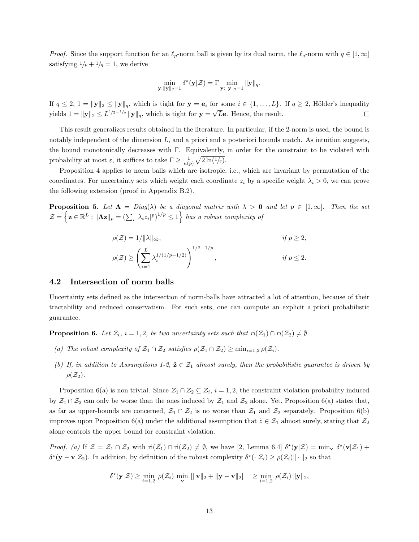*Proof.* Since the support function for an  $\ell_p$ -norm ball is given by its dual norm, the  $\ell_q$ -norm with  $q \in [1, \infty]$ satisfying  $1/p + 1/q = 1$ , we derive

$$
\min_{\mathbf{y}: \|\mathbf{y}\|_2=1} \delta^{\star}(\mathbf{y}|\mathcal{Z}) = \Gamma \min_{\mathbf{y}: \|\mathbf{y}\|_2=1} \|\mathbf{y}\|_q.
$$

If  $q \leq 2$ ,  $1 = ||\mathbf{y}||_2 \leq ||\mathbf{y}||_q$ , which is tight for  $\mathbf{y} = \mathbf{e}_i$  for some  $i \in \{1, \ldots, L\}$ . If  $q \geq 2$ , Hölder's inequality yields  $1 = ||\mathbf{y}||_2 \le L^{1/2-1/q} ||\mathbf{y}||_q$ , which is tight for  $\mathbf{y} = \sqrt{L}\mathbf{e}$ . Hence, the result.  $\Box$ 

This result generalizes results obtained in the literature. In particular, if the 2-norm is used, the bound is notably independent of the dimension  $L$ , and a priori and a posteriori bounds match. As intuition suggests, the bound monotonically decreases with Γ. Equivalently, in order for the constraint to be violated with probability at most  $\varepsilon$ , it suffices to take  $\Gamma \geq \frac{1}{\kappa(p)} \sqrt{2\ln(1/\varepsilon)}$ .

Proposition 4 applies to norm balls which are isotropic, i.e., which are invariant by permutation of the coordinates. For uncertainty sets which weight each coordinate  $z_i$  by a specific weight  $\lambda_i > 0$ , we can prove the following extension (proof in Appendix B.2).

**Proposition 5.** Let  $\Lambda = Diag(\lambda)$  be a diagonal matrix with  $\lambda > 0$  and let  $p \in [1, \infty]$ . Then the set  $\mathcal{Z} = \left\{ \mathbf{z} \in \mathbb{R}^L : ||\mathbf{\Lambda} \mathbf{z}||_p = \left(\sum_i |\lambda_i z_i|^p\right)^{1/p} \leq 1 \right\}$  has a robust complexity of

$$
\rho(\mathcal{Z}) = 1/||\lambda||_{\infty}, \quad \text{if } p \ge 2,
$$
  

$$
\rho(\mathcal{Z}) \ge \left(\sum_{i=1}^{L} \lambda_i^{1/(1/p-1/2)}\right)^{1/2-1/p}, \quad \text{if } p \le 2.
$$

### 4.2 Intersection of norm balls

Uncertainty sets defined as the intersection of norm-balls have attracted a lot of attention, because of their tractability and reduced conservatism. For such sets, one can compute an explicit a priori probabilistic guarantee.

**Proposition 6.** Let  $\mathcal{Z}_i$ ,  $i = 1, 2$ , be two uncertainty sets such that  $ri(\mathcal{Z}_1) \cap ri(\mathcal{Z}_2) \neq \emptyset$ .

- (a) The robust complexity of  $\mathcal{Z}_1 \cap \mathcal{Z}_2$  satisfies  $\rho(\mathcal{Z}_1 \cap \mathcal{Z}_2) \ge \min_{i=1,2} \rho(\mathcal{Z}_i)$ .
- (b) If, in addition to Assumptions 1-2,  $\tilde{\mathbf{z}} \in \mathcal{Z}_1$  almost surely, then the probabilistic guarantee is driven by  $\rho(\mathcal{Z}_2)$ .

Proposition 6(a) is non trivial. Since  $\mathcal{Z}_1 \cap \mathcal{Z}_2 \subseteq \mathcal{Z}_i$ ,  $i = 1, 2$ , the constraint violation probability induced by  $\mathcal{Z}_1 \cap \mathcal{Z}_2$  can only be worse than the ones induced by  $\mathcal{Z}_1$  and  $\mathcal{Z}_2$  alone. Yet, Proposition 6(a) states that, as far as upper-bounds are concerned,  $\mathcal{Z}_1 \cap \mathcal{Z}_2$  is no worse than  $\mathcal{Z}_1$  and  $\mathcal{Z}_2$  separately. Proposition 6(b) improves upon Proposition 6(a) under the additional assumption that  $\tilde{z} \in \mathcal{Z}_1$  almost surely, stating that  $\mathcal{Z}_2$ alone controls the upper bound for constraint violation.

Proof. (a) If  $\mathcal{Z} = \mathcal{Z}_1 \cap \mathcal{Z}_2$  with  $\text{ri}(\mathcal{Z}_1) \cap \text{ri}(\mathcal{Z}_2) \neq \emptyset$ , we have [2, Lemma 6.4]  $\delta^*(y|\mathcal{Z}) = \min_{\mathbf{v}} \delta^*(v|\mathcal{Z}_1) +$  $\delta^*(\mathbf{y}-\mathbf{v}|\mathcal{Z}_2)$ . In addition, by definition of the robust complexity  $\delta^*(\cdot|\mathcal{Z}_i) \geq \rho(\mathcal{Z}_i) \|\cdot\|_2$  so that

$$
\delta^{\star}(\mathbf{y}|\mathcal{Z}) \ge \min_{i=1,2} \, \rho(\mathcal{Z}_i) \, \min_{\mathbf{v}} \, \left[ \|\mathbf{v}\|_2 + \|\mathbf{y} - \mathbf{v}\|_2 \right] \quad \ge \min_{i=1,2} \, \rho(\mathcal{Z}_i) \, \|\mathbf{y}\|_2,
$$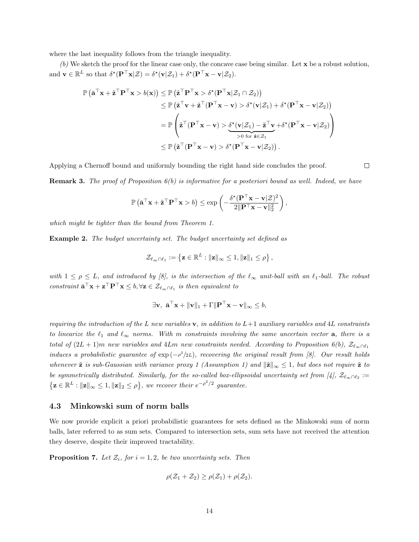where the last inequality follows from the triangle inequality.

(b) We sketch the proof for the linear case only, the concave case being similar. Let x be a robust solution, and  $\mathbf{v} \in \mathbb{R}^L$  so that  $\delta^{\star}(\mathbf{P}^\top \mathbf{x} | \mathcal{Z}) = \delta^{\star}(\mathbf{v} | \mathcal{Z}_1) + \delta^{\star}(\mathbf{P}^\top \mathbf{x} - \mathbf{v} | \mathcal{Z}_2)$ .

$$
\mathbb{P}\left(\bar{\mathbf{a}}^{\top}\mathbf{x} + \tilde{\mathbf{z}}^{\top}\mathbf{P}^{\top}\mathbf{x} > b(\mathbf{x})\right) \leq \mathbb{P}\left(\tilde{\mathbf{z}}^{\top}\mathbf{P}^{\top}\mathbf{x} > \delta^{\star}(\mathbf{P}^{\top}\mathbf{x}|\mathcal{Z}_{1} \cap \mathcal{Z}_{2})\right) \n\leq \mathbb{P}\left(\tilde{\mathbf{z}}^{\top}\mathbf{v} + \tilde{\mathbf{z}}^{\top}(\mathbf{P}^{\top}\mathbf{x} - \mathbf{v}) > \delta^{\star}(\mathbf{v}|\mathcal{Z}_{1}) + \delta^{\star}(\mathbf{P}^{\top}\mathbf{x} - \mathbf{v}|\mathcal{Z}_{2})\right) \n= \mathbb{P}\left(\tilde{\mathbf{z}}^{\top}(\mathbf{P}^{\top}\mathbf{x} - \mathbf{v}) > \underbrace{\delta^{\star}(\mathbf{v}|\mathcal{Z}_{1}) - \tilde{\mathbf{z}}^{\top}\mathbf{v}}_{>0 \text{ for } \tilde{\mathbf{z}} \in \mathcal{Z}_{1}} + \delta^{\star}(\mathbf{P}^{\top}\mathbf{x} - \mathbf{v}|\mathcal{Z}_{2})\right) \n\leq \mathbb{P}\left(\tilde{\mathbf{z}}^{\top}(\mathbf{P}^{\top}\mathbf{x} - \mathbf{v}) > \delta^{\star}(\mathbf{P}^{\top}\mathbf{x} - \mathbf{v}|\mathcal{Z}_{2})\right).
$$

Applying a Chernoff bound and uniformly bounding the right hand side concludes the proof.

 $\Box$ 

**Remark 3.** The proof of Proposition  $6(b)$  is informative for a posteriori bound as well. Indeed, we have

$$
\mathbb{P}\left(\bar{\mathbf{a}}^{\top}\mathbf{x} + \tilde{\mathbf{z}}^{\top}\mathbf{P}^{\top}\mathbf{x} > b\right) \le \exp\left(-\frac{\delta^{\star}(\mathbf{P}^{\top}\mathbf{x} - \mathbf{v}|\mathcal{Z})^2}{2\|\mathbf{P}^{\top}\mathbf{x} - \mathbf{v}\|_2^2}\right),
$$

which might be tighter than the bound from Theorem 1.

Example 2. The budget uncertainty set. The budget uncertainty set defined as

$$
\mathcal{Z}_{\ell_\infty \cap \ell_1} := \left\{ \mathbf{z} \in \mathbb{R}^L : \|\mathbf{z}\|_\infty \leq 1, \|\mathbf{z}\|_1 \leq \rho \right\},\
$$

with  $1 \le \rho \le L$ , and introduced by [8], is the intersection of the  $\ell_{\infty}$  unit-ball with an  $\ell_1$ -ball. The robust constraint  $\bar{\mathbf{a}}^{\top}\mathbf{x} + \mathbf{z}^{\top}\mathbf{P}^{\top}\mathbf{x} \leq b, \forall \mathbf{z} \in \mathcal{Z}_{\ell_{\infty} \cap \ell_1}$  is then equivalent to

$$
\exists \mathbf{v}, \ \bar{\mathbf{a}}^{\top} \mathbf{x} + ||\mathbf{v}||_1 + \Gamma ||\mathbf{P}^{\top} \mathbf{x} - \mathbf{v}||_{\infty} \leq b,
$$

requiring the introduction of the L new variables  $\mathbf{v}$ , in addition to  $L+1$  auxiliary variables and 4L constraints to linearize the  $\ell_1$  and  $\ell_{\infty}$  norms. With m constraints involving the same uncertain vector **a**, there is a total of  $(2L + 1)m$  new variables and 4Lm new constraints needed. According to Proposition 6(b),  $\mathcal{Z}_{\ell_{\infty} \cap \ell_1}$ induces a probabilistic guarantee of  $\exp(-\rho^2/2L)$ , recovering the original result from [8]. Our result holds whenever  $\tilde{z}$  is sub-Gaussian with variance proxy 1 (Assumption 1) and  $\|\tilde{z}\|_{\infty} \leq 1$ , but does not require  $\tilde{z}$  to be symmetrically distributed. Similarly, for the so-called box-ellipsoidal uncertainty set from [4],  $\mathcal{Z}_{\ell_{\infty} \cap \ell_2} :=$  $\{ \mathbf{z} \in \mathbb{R}^L : ||\mathbf{z}||_{\infty} \leq 1, ||\mathbf{z}||_2 \leq \rho \},$  we recover their  $e^{-\rho^2/2}$  guarantee.

### 4.3 Minkowski sum of norm balls

We now provide explicit a priori probabilistic guarantees for sets defined as the Minkowski sum of norm balls, later referred to as sum sets. Compared to intersection sets, sum sets have not received the attention they deserve, despite their improved tractability.

**Proposition 7.** Let  $\mathcal{Z}_i$ , for  $i = 1, 2$ , be two uncertainty sets. Then

$$
\rho(\mathcal{Z}_1+\mathcal{Z}_2)\geq \rho(\mathcal{Z}_1)+\rho(\mathcal{Z}_2).
$$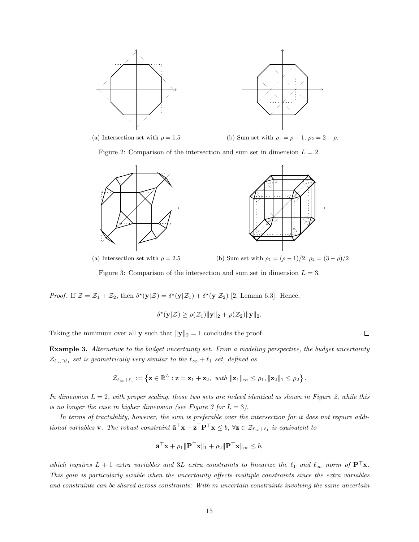

(a) Intersection set with  $\rho = 1.5$  (b) Sum set with  $\rho_1 = \rho - 1$ ,  $\rho_2 = 2 - \rho$ .

Figure 2: Comparison of the intersection and sum set in dimension  $L = 2$ .



(a) Intersection set with  $\rho = 2.5$  (b) Sum set with  $\rho_1 = (\rho - 1)/2$ ,  $\rho_2 = (3 - \rho)/2$ 

 $\Box$ 

Figure 3: Comparison of the intersection and sum set in dimension  $L = 3$ .

Proof. If  $\mathcal{Z} = \mathcal{Z}_1 + \mathcal{Z}_2$ , then  $\delta^*(\mathbf{y}|\mathcal{Z}) = \delta^*(\mathbf{y}|\mathcal{Z}_1) + \delta^*(\mathbf{y}|\mathcal{Z}_2)$  [2, Lemma 6.3]. Hence,

$$
\delta^{\star}(\mathbf{y}|\mathcal{Z}) \geq \rho(\mathcal{Z}_1)\|\mathbf{y}\|_2 + \rho(\mathcal{Z}_2)\|\mathbf{y}\|_2.
$$

Taking the minimum over all **y** such that  $||\mathbf{y}||_2 = 1$  concludes the proof.

Example 3. Alternative to the budget uncertainty set. From a modeling perspective, the budget uncertainty  $\mathcal{Z}_{\ell_{\infty}\cap\ell_1}$  set is geometrically very similar to the  $\ell_{\infty} + \ell_1$  set, defined as

$$
\mathcal{Z}_{\ell_{\infty}+\ell_1}:=\left\{\mathbf{z}\in\mathbb{R}^L:\mathbf{z}=\mathbf{z}_1+\mathbf{z}_2,\ \text{with}\ \| \mathbf{z}_1\|_{\infty}\leq\rho_1, \| \mathbf{z}_2\|_1\leq\rho_2\right\}.
$$

In dimension  $L = 2$ , with proper scaling, those two sets are indeed identical as shown in Figure 2, while this is no longer the case in higher dimension (see Figure 3 for  $L = 3$ ).

In terms of tractability, however, the sum is preferable over the intersection for it does not require additional variables **v**. The robust constraint  $\bar{\mathbf{a}}^{\top}\mathbf{x} + \mathbf{z}^{\top}\mathbf{P}^{\top}\mathbf{x} \leq b$ ,  $\forall \mathbf{z} \in \mathcal{Z}_{\ell_{\infty}+\ell_1}$  is equivalent to

$$
\bar{\mathbf{a}}^{\top}\mathbf{x} + \rho_1 \|\mathbf{P}^{\top}\mathbf{x}\|_1 + \rho_2 \|\mathbf{P}^{\top}\mathbf{x}\|_{\infty} \leq b,
$$

which requires  $L + 1$  extra variables and 3L extra constraints to linearize the  $\ell_1$  and  $\ell_{\infty}$  norm of  $\mathbf{P}^\top \mathbf{x}$ . This gain is particularly sizable when the uncertainty affects multiple constraints since the extra variables and constraints can be shared across constraints: With m uncertain constraints involving the same uncertain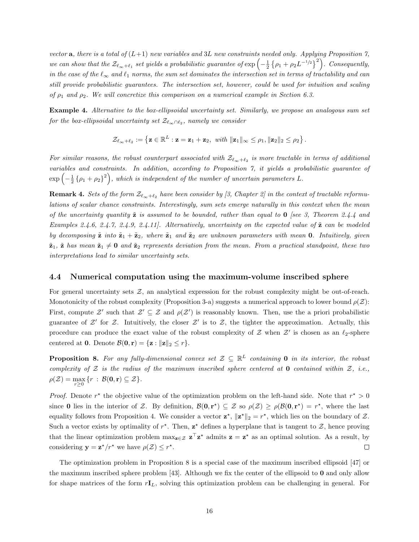vector **a**, there is a total of  $(L+1)$  new variables and 3L new constraints needed only. Applying Proposition 7, we can show that the  $\mathcal{Z}_{\ell_{\infty}+\ell_1}$  set yields a probabilistic guarantee of  $\exp\left(-\frac{1}{2}\left\{\rho_1+\rho_2 L^{-1/2}\right\}^2\right)$ . Consequently, in the case of the  $\ell_{\infty}$  and  $\ell_1$  norms, the sum set dominates the intersection set in terms of tractability and can still provide probabilistic guarantees. The intersection set, however, could be used for intuition and scaling of  $\rho_1$  and  $\rho_2$ . We will concretize this comparison on a numerical example in Section 6.3.

Example 4. Alternative to the box-ellipsoidal uncertainty set. Similarly, we propose an analogous sum set for the box-ellipsoidal uncertainty set  $\mathcal{Z}_{\ell_{\infty}\cap\ell_{2}},$  namely we consider

$$
\mathcal{Z}_{\ell_\infty+\ell_2}:=\left\{\mathbf{z}\in\mathbb{R}^L:\mathbf{z}=\mathbf{z}_1+\mathbf{z}_2,\ \text{with}\ \| \mathbf{z}_1\|_\infty\leq\rho_1, \| \mathbf{z}_2\|_2\leq\rho_2\right\}.
$$

For similar reasons, the robust counterpart associated with  $\mathcal{Z}_{\ell_{\infty}+\ell_2}$  is more tractable in terms of additional variables and constraints. In addition, according to Proposition 7, it yields a probabilistic guarantee of  $\exp\left(-\frac{1}{2}\left\{\rho_1+\rho_2\right\}^2\right)$ , which is independent of the number of uncertain parameters L.

**Remark 4.** Sets of the form  $\mathcal{Z}_{\ell_{\infty}+\ell_2}$  have been consider by [3, Chapter 2] in the context of tractable reformulations of scalar chance constraints. Interestingly, sum sets emerge naturally in this context when the mean of the uncertainty quantity  $\tilde{\mathbf{z}}$  is assumed to be bounded, rather than equal to  $\mathbf{0}$  [see 3, Theorem 2.4.4 and Examples 2.4.6, 2.4.7, 2.4.9, 2.4.11]. Alternatively, uncertainty on the expected value of  $\tilde{z}$  can be modeled by decomposing  $\tilde{\mathbf{z}}$  into  $\tilde{\mathbf{z}}_1 + \tilde{\mathbf{z}}_2$ , where  $\tilde{\mathbf{z}}_1$  and  $\tilde{\mathbf{z}}_2$  are unknown parameters with mean **0**. Intuitively, given  $\tilde{\mathbf{z}}_1$ ,  $\tilde{\mathbf{z}}$  has mean  $\tilde{\mathbf{z}}_1 \neq \mathbf{0}$  and  $\tilde{\mathbf{z}}_2$  represents deviation from the mean. From a practical standpoint, these two interpretations lead to similar uncertainty sets.

### 4.4 Numerical computation using the maximum-volume inscribed sphere

For general uncertainty sets  $\mathcal{Z}$ , an analytical expression for the robust complexity might be out-of-reach. Monotonicity of the robust complexity (Proposition 3-a) suggests a numerical approach to lower bound  $\rho(\mathcal{Z})$ : First, compute  $\mathcal{Z}'$  such that  $\mathcal{Z}' \subseteq \mathcal{Z}$  and  $\rho(\mathcal{Z}')$  is reasonably known. Then, use the a priori probabilistic guarantee of  $\mathcal{Z}'$  for  $\mathcal{Z}$ . Intuitively, the closer  $\mathcal{Z}'$  is to  $\mathcal{Z}$ , the tighter the approximation. Actually, this procedure can produce the exact value of the robust complexity of  $\mathcal Z$  when  $\mathcal Z'$  is chosen as an  $\ell_2$ -sphere centered at **0**. Denote  $\mathcal{B}(\mathbf{0}, \mathbf{r}) = {\mathbf{z} : ||\mathbf{z}||_2 \leq r}.$ 

**Proposition 8.** For any fully-dimensional convex set  $\mathcal{Z} \subseteq \mathbb{R}^L$  containing 0 in its interior, the robust complexity of  $Z$  is the radius of the maximum inscribed sphere centered at  $0$  contained within  $Z$ , i.e.,  $\rho(\mathcal{Z}) = \max_{r \geq 0} \{r \,:\, \mathcal{B}(\mathbf{0}, \mathbf{r}) \subseteq \mathcal{Z}\}.$ 

*Proof.* Denote  $r^*$  the objective value of the optimization problem on the left-hand side. Note that  $r^* > 0$ since **0** lies in the interior of Z. By definition,  $\mathcal{B}(0, r^*) \subseteq \mathcal{Z}$  so  $\rho(\mathcal{Z}) \geq \rho(\mathcal{B}(0, r^*) = r^*$ , where the last equality follows from Proposition 4. We consider a vector  $\mathbf{z}^*$ ,  $\|\mathbf{z}^*\|_2 = r^*$ , which lies on the boundary of  $\mathcal{Z}$ . Such a vector exists by optimality of  $r^*$ . Then,  $z^*$  defines a hyperplane that is tangent to  $\mathcal{Z}$ , hence proving that the linear optimization problem  $\max_{z \in \mathcal{Z}} z^{\top} z^*$  admits  $z = z^*$  as an optimal solution. As a result, by considering  $\mathbf{y} = \mathbf{z}^{\star}/r^{\star}$  we have  $\rho(\mathcal{Z}) \leq r^{\star}$ .  $\Box$ 

The optimization problem in Proposition 8 is a special case of the maximum inscribed ellipsoid [47] or the maximum inscribed sphere problem [43]. Although we fix the center of the ellipsoid to  $\bf{0}$  and only allow for shape matrices of the form  $rI_L$ , solving this optimization problem can be challenging in general. For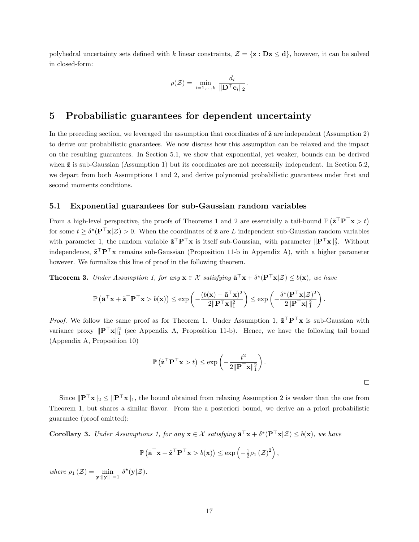polyhedral uncertainty sets defined with k linear constraints,  $\mathcal{Z} = \{z : Dz \leq d\}$ , however, it can be solved in closed-form:

$$
\rho(\mathcal{Z}) = \min_{i=1,\dots,k} \frac{d_i}{\|\mathbf{D}^\top \mathbf{e}_i\|_2}.
$$

### 5 Probabilistic guarantees for dependent uncertainty

In the preceding section, we leveraged the assumption that coordinates of  $\tilde{z}$  are independent (Assumption 2) to derive our probabilistic guarantees. We now discuss how this assumption can be relaxed and the impact on the resulting guarantees. In Section 5.1, we show that exponential, yet weaker, bounds can be derived when  $\tilde{z}$  is sub-Gaussian (Assumption 1) but its coordinates are not necessarily independent. In Section 5.2, we depart from both Assumptions 1 and 2, and derive polynomial probabilistic guarantees under first and second moments conditions.

### 5.1 Exponential guarantees for sub-Gaussian random variables

From a high-level perspective, the proofs of Theorems 1 and 2 are essentially a tail-bound  $\mathbb{P}(\tilde{z}^\top P^\top x > t)$ for some  $t \geq \delta^*(P^\top x | \mathcal{Z}) > 0$ . When the coordinates of  $\tilde{\mathbf{z}}$  are L independent sub-Gaussian random variables with parameter 1, the random variable  $\tilde{\mathbf{z}}^{\top} \mathbf{P}^{\top} \mathbf{x}$  is itself sub-Gaussian, with parameter  $\|\mathbf{P}^{\top} \mathbf{x}\|_2^2$ . Without independence,  $\tilde{\mathbf{z}}^{\top} \mathbf{P}^{\top} \mathbf{x}$  remains sub-Gaussian (Proposition 11-b in Appendix A), with a higher parameter however. We formalize this line of proof in the following theorem.

**Theorem 3.** Under Assumption 1, for any  $\mathbf{x} \in \mathcal{X}$  satisfying  $\bar{\mathbf{a}}^{\top} \mathbf{x} + \delta^{\star}(\mathbf{P}^{\top} \mathbf{x} | \mathcal{Z}) \leq b(\mathbf{x})$ , we have

$$
\mathbb{P}\left(\bar{\mathbf{a}}^{\top}\mathbf{x} + \tilde{\mathbf{z}}^{\top}\mathbf{P}^{\top}\mathbf{x} > b(\mathbf{x})\right) \le \exp\left(-\frac{(b(\mathbf{x}) - \bar{\mathbf{a}}^{\top}\mathbf{x})^2}{2\|\mathbf{P}^{\top}\mathbf{x}\|_1^2}\right) \le \exp\left(-\frac{\delta^{\star}(\mathbf{P}^{\top}\mathbf{x}|\mathcal{Z})^2}{2\|\mathbf{P}^{\top}\mathbf{x}\|_1^2}\right).
$$

*Proof.* We follow the same proof as for Theorem 1. Under Assumption 1,  $\tilde{\mathbf{z}}^T \mathbf{P}^T \mathbf{x}$  is sub-Gaussian with variance proxy  $\|\mathbf{P}^\top \mathbf{x}\|_1^2$  (see Appendix A, Proposition 11-b). Hence, we have the following tail bound (Appendix A, Proposition 10)

$$
\mathbb{P}\left(\tilde{\mathbf{z}}^{\top}\mathbf{P}^{\top}\mathbf{x} > t\right) \leq \exp\left(-\frac{t^2}{2\|\mathbf{P}^{\top}\mathbf{x}\|_1^2}\right).
$$

Since  $\|\mathbf{P}^\top \mathbf{x}\|_2 \leq \|\mathbf{P}^\top \mathbf{x}\|_1$ , the bound obtained from relaxing Assumption 2 is weaker than the one from Theorem 1, but shares a similar flavor. From the a posteriori bound, we derive an a priori probabilistic guarantee (proof omitted):

**Corollary 3.** Under Assumptions 1, for any  $\mathbf{x} \in \mathcal{X}$  satisfying  $\bar{\mathbf{a}}^{\top} \mathbf{x} + \delta^{\star}(\mathbf{P}^{\top} \mathbf{x} | \mathcal{Z}) \leq b(\mathbf{x})$ , we have

$$
\mathbb{P}\left(\bar{\mathbf{a}}^{\top}\mathbf{x} + \tilde{\mathbf{z}}^{\top}\mathbf{P}^{\top}\mathbf{x} > b(\mathbf{x})\right) \le \exp\left(-\frac{1}{2}\rho_1(\mathcal{Z})^2\right),\,
$$

where  $\rho_1(\mathcal{Z}) = \min_{\mathbf{y}: \|\mathbf{y}\|_1 = 1} \delta^*(\mathbf{y}|\mathcal{Z}).$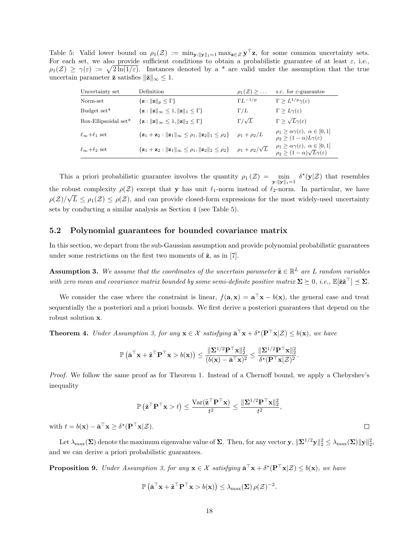Table 5: Valid lower bound on  $\rho_1(\mathcal{Z}) := \min_{\mathbf{y}: \|\mathbf{y}\|_1 = 1} \max_{\mathbf{z} \in \mathcal{Z}} \mathbf{y}^\top \mathbf{z}$ , for some common uncertainty sets. For each set, we also provide sufficient conditions to obtain a probabilistic guarantee of at least  $\varepsilon$ , i.e.,  $\rho_1(\mathcal{Z}) \geq \gamma(\varepsilon) := \sqrt{2\ln(1/\varepsilon)}$ . Instances denoted by a \* are valid under the assumption that the true uncertain parameter  $\tilde{z}$  satisfies  $\|\tilde{z}\|_{\infty} \leq 1$ .

| Uncertainty set              | Definition                                                                                                   | $\rho_1(\mathcal{Z}) \geq \ldots$ | s.c. for $\varepsilon$ -guarantee                                                                                   |
|------------------------------|--------------------------------------------------------------------------------------------------------------|-----------------------------------|---------------------------------------------------------------------------------------------------------------------|
| Norm-set                     | $\{z:   z  _p \leq \Gamma\}$                                                                                 | $\Gamma L^{-1/p}$                 | $\Gamma \geq L^{1/p}\gamma(\varepsilon)$                                                                            |
| Budget set*                  | $\{z:   z  _{\infty} \leq 1,   z  _1 \leq \Gamma\}$                                                          | $\Gamma/L$                        | $\Gamma \geq L \gamma(\varepsilon)$                                                                                 |
| Box-Ellipsoidal set*         | $\{z:   z  _{\infty} \leq 1,   z  _2 \leq \Gamma\}$                                                          | $\Gamma/\sqrt{L}$                 | $\Gamma > \sqrt{L}\gamma(\varepsilon)$                                                                              |
| $\ell_{\infty}+\ell_1$ set   | ${z_1 + z_2 :   z_1  _{\infty} \leq \rho_1,   z_2  _1 \leq \rho_2}.$                                         | $\rho_1 + \rho_2/L$               | $\rho_1 \geq \alpha \gamma(\varepsilon), \ \alpha \in [0,1]$<br>$\rho_2 > (1 - \alpha)L\gamma(\varepsilon)$         |
| $\ell_{\infty}+\ell_{2}$ set | $\{ \mathbf{z}_1 + \mathbf{z}_2 :   \mathbf{z}_1  _{\infty} \leq \rho_1,   \mathbf{z}_2  _2 \leq \rho_2 \}.$ | $\rho_1 + \rho_2/\sqrt{L}$        | $\rho_1 \geq \alpha \gamma(\varepsilon), \ \alpha \in [0,1]$<br>$\rho_2 \geq (1-\alpha)\sqrt{L}\gamma(\varepsilon)$ |

This a priori probabilistic guarantee involves the quantity  $\rho_1(\mathcal{Z}) = \min_{\mathbf{y}: \|\mathbf{y}\|_1 = 1} \delta^*(\mathbf{y}|\mathcal{Z})$  that resembles the robust complexity  $\rho(\mathcal{Z})$  except that y has unit  $\ell_1$ -norm instead of  $\ell_2$ -norm. In particular, we have  $\rho(\mathcal{Z})/$ √  $L \leq \rho_1(\mathcal{Z}) \leq \rho(\mathcal{Z})$ , and can provide closed-form expressions for the most widely-used uncertainty sets by conducting a similar analysis as Section 4 (see Table 5).

#### 5.2 Polynomial guarantees for bounded covariance matrix

In this section, we depart from the sub-Gaussian assumption and provide polynomial probabilistic guarantees under some restrictions on the first two moments of  $\tilde{z}$ , as in [7].

**Assumption 3.** We assume that the coordinates of the uncertain parameter  $\tilde{\mathbf{z}} \in \mathbb{R}^L$  are L random variables with zero mean and covariance matrix bounded by some semi-definite positive matrix  $\mathbf{\Sigma}\succeq0$ , i.e.,  $\mathbb{E}[\tilde{\mathbf{z}}\tilde{\mathbf{z}}^\top]\preceq\mathbf{\Sigma}.$ 

We consider the case where the constraint is linear,  $f(\mathbf{a}, \mathbf{x}) = \mathbf{a}^\top \mathbf{x} - b(\mathbf{x})$ , the general case and treat sequentially the a posteriori and a priori bounds. We first derive a posteriori guarantees that depend on the robust solution x.

**Theorem 4.** Under Assumption 3, for any  $\mathbf{x} \in \mathcal{X}$  satisfying  $\bar{\mathbf{a}}^{\top} \mathbf{x} + \delta^{\star}(\mathbf{P}^{\top} \mathbf{x} | \mathcal{Z}) \leq b(\mathbf{x})$ , we have

$$
\mathbb{P}\left(\bar{\mathbf{a}}^{\top}\mathbf{x} + \tilde{\mathbf{z}}^{\top}\mathbf{P}^{\top}\mathbf{x} > b(\mathbf{x})\right) \leq \frac{\|\mathbf{\Sigma}^{1/2}\mathbf{P}^{\top}\mathbf{x}\|_2^2}{(b(\mathbf{x}) - \bar{\mathbf{a}}^{\top}\mathbf{x})^2} \leq \frac{\|\mathbf{\Sigma}^{1/2}\mathbf{P}^{\top}\mathbf{x}\|_2^2}{\delta^{\star}(\mathbf{P}^{\top}\mathbf{x}|\mathcal{Z})^2}.
$$

Proof. We follow the same proof as for Theorem 1. Instead of a Chernoff bound, we apply a Chebyshev's inequality

$$
\mathbb{P}\left(\tilde{\mathbf{z}}^{\top}\mathbf{P}^{\top}\mathbf{x} > t\right) \leq \frac{\text{Var}(\tilde{\mathbf{z}}^{\top}\mathbf{P}^{\top}\mathbf{x})}{t^2} \leq \frac{\|\mathbf{\Sigma}^{1/2}\mathbf{P}^{\top}\mathbf{x}\|_2^2}{t^2},
$$

with  $t = b(\mathbf{x}) - \bar{\mathbf{a}}^{\top}\mathbf{x} \geq \delta^{\star}(\mathbf{P}^{\top}\mathbf{x}|\mathcal{Z}).$ 

Let  $\lambda_{\max}(\mathbf{\Sigma})$  denote the maximum eigenvalue value of  $\mathbf{\Sigma}$ . Then, for any vector  $\mathbf{y}, \|\mathbf{\Sigma}^{1/2}\mathbf{y}\|_2^2 \leq \lambda_{\max}(\mathbf{\Sigma}) \|\mathbf{y}\|_2^2$ , and we can derive a priori probabilistic guarantees.

**Proposition 9.** Under Assumption 3, for any  $\mathbf{x} \in \mathcal{X}$  satisfying  $\bar{\mathbf{a}}^{\top} \mathbf{x} + \delta^{\star}(\mathbf{P}^{\top} \mathbf{x} | \mathcal{Z}) \leq b(\mathbf{x})$ , we have

$$
\mathbb{P}\left(\bar{\mathbf{a}}^{\top}\mathbf{x} + \tilde{\mathbf{z}}^{\top}\mathbf{P}^{\top}\mathbf{x} > b(\mathbf{x})\right) \leq \lambda_{\max}(\boldsymbol{\Sigma}) \,\rho(\mathcal{Z})^{-2}.
$$

 $\Box$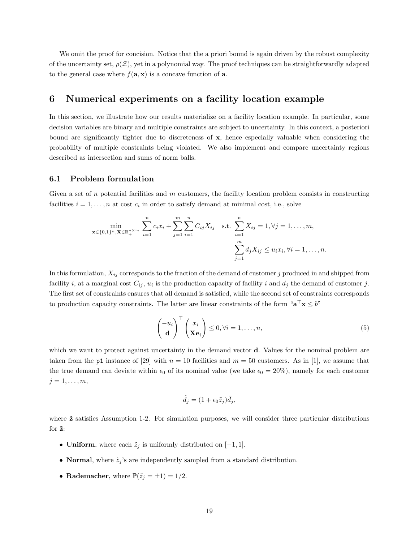We omit the proof for concision. Notice that the a priori bound is again driven by the robust complexity of the uncertainty set,  $\rho(\mathcal{Z})$ , yet in a polynomial way. The proof techniques can be straightforwardly adapted to the general case where  $f(\mathbf{a}, \mathbf{x})$  is a concave function of **a**.

## 6 Numerical experiments on a facility location example

In this section, we illustrate how our results materialize on a facility location example. In particular, some decision variables are binary and multiple constraints are subject to uncertainty. In this context, a posteriori bound are significantly tighter due to discreteness of x, hence especially valuable when considering the probability of multiple constraints being violated. We also implement and compare uncertainty regions described as intersection and sums of norm balls.

### 6.1 Problem formulation

Given a set of n potential facilities and  $m$  customers, the facility location problem consists in constructing facilities  $i = 1, \ldots, n$  at cost  $c_i$  in order to satisfy demand at minimal cost, i.e., solve

$$
\min_{\mathbf{x} \in \{0,1\}^n, \mathbf{X} \in \mathbb{R}_+^{n \times m}} \sum_{i=1}^n c_i x_i + \sum_{j=1}^m \sum_{i=1}^n C_{ij} X_{ij} \quad \text{s.t.} \sum_{i=1}^n X_{ij} = 1, \forall j = 1, \dots, m,
$$
\n
$$
\sum_{j=1}^m d_j X_{ij} \le u_i x_i, \forall i = 1, \dots, n.
$$

In this formulation,  $X_{ij}$  corresponds to the fraction of the demand of customer j produced in and shipped from facility *i*, at a marginal cost  $C_{ij}$ ,  $u_i$  is the production capacity of facility *i* and  $d_j$  the demand of customer *j*. The first set of constraints ensures that all demand is satisfied, while the second set of constraints corresponds to production capacity constraints. The latter are linear constraints of the form " $\mathbf{a}^{\top}\mathbf{x} \leq b$ "

$$
\begin{pmatrix} -u_i \\ \mathbf{d} \end{pmatrix}^\top \begin{pmatrix} x_i \\ \mathbf{X} \mathbf{e}_i \end{pmatrix} \le 0, \forall i = 1, \dots, n,
$$
 (5)

which we want to protect against uncertainty in the demand vector **d**. Values for the nominal problem are taken from the p1 instance of [29] with  $n = 10$  facilities and  $m = 50$  customers. As in [1], we assume that the true demand can deviate within  $\epsilon_0$  of its nominal value (we take  $\epsilon_0 = 20\%$ ), namely for each customer  $j=1,\ldots,m,$ 

$$
\tilde{d}_j = (1 + \epsilon_0 \tilde{z}_j) \bar{d}_j,
$$

where  $\tilde{\mathbf{z}}$  satisfies Assumption 1-2. For simulation purposes, we will consider three particular distributions for  $\tilde{z}$ :

- Uniform, where each  $\tilde{z}_i$  is uniformly distributed on  $[-1, 1]$ .
- Normal, where  $\tilde{z}_i$ 's are independently sampled from a standard distribution.
- Rademacher, where  $\mathbb{P}(\tilde{z}_i = \pm 1) = 1/2$ .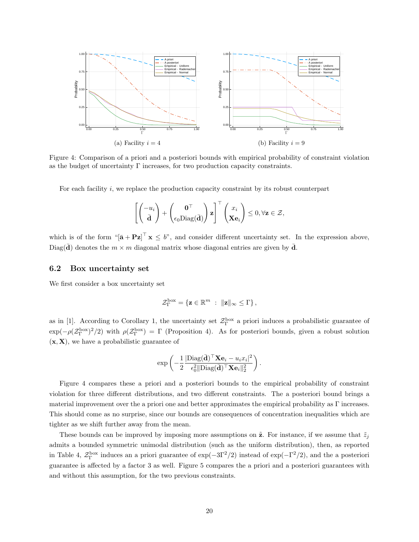

Figure 4: Comparison of a priori and a posteriori bounds with empirical probability of constraint violation as the budget of uncertainty  $\Gamma$  increases, for two production capacity constraints.

For each facility  $i$ , we replace the production capacity constraint by its robust counterpart

$$
\left[ \begin{pmatrix} -u_i \\ \bar{\mathbf{d}} \end{pmatrix} + \begin{pmatrix} \mathbf{0}^\top \\ \epsilon_0 \text{Diag}(\bar{\mathbf{d}}) \end{pmatrix} \mathbf{z} \right]^\top \begin{pmatrix} x_i \\ \mathbf{X} \mathbf{e}_i \end{pmatrix} \leq 0, \forall \mathbf{z} \in \mathcal{Z},
$$

which is of the form " $[\bar{\mathbf{a}} + \mathbf{P} \mathbf{z}]^{\top} \mathbf{x} \leq b$ ", and consider different uncertainty set. In the expression above, Diag(d) denotes the  $m \times m$  diagonal matrix whose diagonal entries are given by  $\bar{d}$ .

#### 6.2 Box uncertainty set

We first consider a box uncertainty set

$$
\mathcal{Z}_{\Gamma}^{\rm box} = \left\{\mathbf{z} \in \mathbb{R}^m \; : \; \|\mathbf{z}\|_{\infty} \leq \Gamma \right\},
$$

as in [1]. According to Corollary 1, the uncertainty set  $\mathcal{Z}_{\Gamma}^{box}$  a priori induces a probabilistic guarantee of  $\exp(-\rho(\mathcal{Z}_{\Gamma}^{\text{box}})^2/2)$  with  $\rho(\mathcal{Z}_{\Gamma}^{\text{box}}) = \Gamma$  (Proposition 4). As for posteriori bounds, given a robust solution  $(x, X)$ , we have a probabilistic guarantee of

$$
\exp\left(-\frac{1}{2}\frac{|\text{Diag}(\bar{\mathbf{d}})^\top\mathbf{X}\mathbf{e}_i - u_i x_i|^2}{\epsilon_0^2 \|\text{Diag}(\bar{\mathbf{d}})^\top\mathbf{X}\mathbf{e}_i\|_2^2}\right).
$$

Figure 4 compares these a priori and a posteriori bounds to the empirical probability of constraint violation for three different distributions, and two different constraints. The a posteriori bound brings a material improvement over the a priori one and better approximates the empirical probability as  $\Gamma$  increases. This should come as no surprise, since our bounds are consequences of concentration inequalities which are tighter as we shift further away from the mean.

These bounds can be improved by imposing more assumptions on  $\tilde{z}$ . For instance, if we assume that  $\tilde{z}_i$ admits a bounded symmetric unimodal distribution (such as the uniform distribution), then, as reported in Table 4,  $\mathcal{Z}_{\Gamma}^{\text{box}}$  induces an a priori guarantee of exp( $-\text{3}\Gamma^2/2$ ) instead of exp( $-\Gamma^2/2$ ), and the a posteriori guarantee is affected by a factor 3 as well. Figure 5 compares the a priori and a posteriori guarantees with and without this assumption, for the two previous constraints.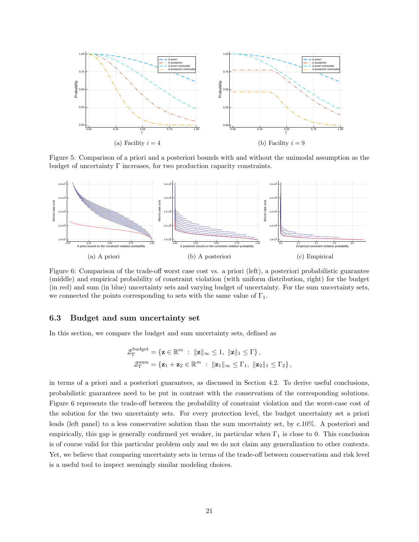

Figure 5: Comparison of a priori and a posteriori bounds with and without the unimodal assumption as the budget of uncertainty  $\Gamma$  increases, for two production capacity constraints.



Figure 6: Comparison of the trade-off worst case cost vs. a priori (left), a posteriori probabilistic guarantee (middle) and empirical probability of constraint violation (with uniform distribution, right) for the budget (in red) and sum (in blue) uncertainty sets and varying budget of uncertainty. For the sum uncertainty sets, we connected the points corresponding to sets with the same value of  $\Gamma_1$ .

### 6.3 Budget and sum uncertainty set

In this section, we compare the budget and sum uncertainty sets, defined as

$$
\mathcal{Z}_{\Gamma}^{\text{budget}} = \{ \mathbf{z} \in \mathbb{R}^m : \ \|\mathbf{z}\|_{\infty} \le 1, \ \|\mathbf{z}\|_1 \le \Gamma \},
$$
  

$$
\mathcal{Z}_{\Gamma}^{\text{sum}} = \{ \mathbf{z}_1 + \mathbf{z}_2 \in \mathbb{R}^m : \ \|\mathbf{z}_1\|_{\infty} \le \Gamma_1, \ \|\mathbf{z}_2\|_1 \le \Gamma_2 \},
$$

in terms of a priori and a posteriori guarantees, as discussed in Section 4.2. To derive useful conclusions, probabilistic guarantees need to be put in contrast with the conservatism of the corresponding solutions. Figure 6 represents the trade-off between the probability of constraint violation and the worst-case cost of the solution for the two uncertainty sets. For every protection level, the budget uncertainty set a priori leads (left panel) to a less conservative solution than the sum uncertainty set, by c.10%. A posteriori and empirically, this gap is generally confirmed yet weaker, in particular when  $\Gamma_1$  is close to 0. This conclusion is of course valid for this particular problem only and we do not claim any generalization to other contexts. Yet, we believe that comparing uncertainty sets in terms of the trade-off between conservatism and risk level is a useful tool to inspect seemingly similar modeling choices.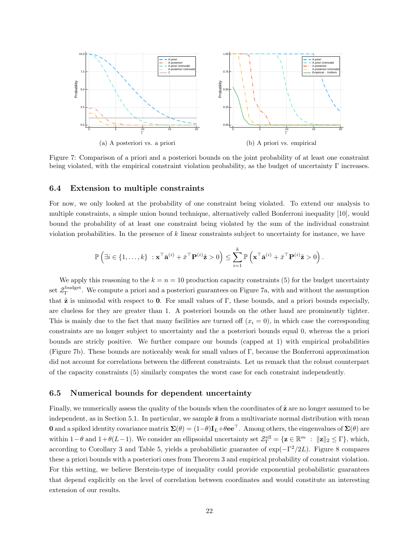

Figure 7: Comparison of a priori and a posteriori bounds on the joint probability of at least one constraint being violated, with the empirical constraint violation probability, as the budget of uncertainty  $\Gamma$  increases.

### 6.4 Extension to multiple constraints

For now, we only looked at the probability of one constraint being violated. To extend our analysis to multiple constraints, a simple union bound technique, alternatively called Bonferroni inequality [10], would bound the probability of at least one constraint being violated by the sum of the individual constraint violation probabilities. In the presence of  $k$  linear constraints subject to uncertainty for instance, we have

$$
\mathbb{P}\left(\exists i \in \{1,\ldots,k\} \ : \mathbf{x}^\top \bar{\mathbf{a}}^{(i)} + \bar{x}^\top \mathbf{P}^{(i)} \tilde{\mathbf{z}} > 0\right) \leq \sum_{i=1}^k \mathbb{P}\left(\mathbf{x}^\top \bar{\mathbf{a}}^{(i)} + \bar{x}^\top \mathbf{P}^{(i)} \tilde{\mathbf{z}} > 0\right).
$$

We apply this reasoning to the  $k = n = 10$  production capacity constraints (5) for the budget uncertainty set  $\mathcal{Z}_{\Gamma}^{\text{budget}}$ . We compute a priori and a posteriori guarantees on Figure 7a, with and without the assumption that  $\tilde{z}$  is unimodal with respect to 0. For small values of  $\Gamma$ , these bounds, and a priori bounds especially, are clueless for they are greater than 1. A posteriori bounds on the other hand are prominently tighter. This is mainly due to the fact that many facilities are turned off  $(x<sub>i</sub> = 0)$ , in which case the corresponding constraints are no longer subject to uncertainty and the a posteriori bounds equal 0, whereas the a priori bounds are stricly positive. We further compare our bounds (capped at 1) with empirical probabilities (Figure 7b). These bounds are noticeably weak for small values of Γ, because the Bonferroni approximation did not account for correlations between the different constraints. Let us remark that the robust counterpart of the capacity constraints (5) similarly computes the worst case for each constraint independently.

### 6.5 Numerical bounds for dependent uncertainty

Finally, we numerically assess the quality of the bounds when the coordinates of  $\tilde{z}$  are no longer assumed to be independent, as in Section 5.1. In particular, we sample  $\tilde{z}$  from a multivariate normal distribution with mean **0** and a spiked identity covariance matrix  $\Sigma(\theta) = (1-\theta)\mathbf{I}_L + \theta \mathbf{e} \mathbf{e}^\top$ . Among others, the eingenvalues of  $\Sigma(\theta)$  are within 1 –  $\theta$  and 1 +  $\theta(L-1)$ . We consider an ellipsoidal uncertainty set  $\mathcal{Z}_{\Gamma}^{\text{ell}} = \{ \mathbf{z} \in \mathbb{R}^m : ||\mathbf{z}||_2 \leq \Gamma \}$ , which, according to Corollary 3 and Table 5, yields a probabilistic guarantee of  $\exp(-\Gamma^2/2L)$ . Figure 8 compares these a priori bounds with a posteriori ones from Theorem 3 and empirical probability of constraint violation. For this setting, we believe Berstein-type of inequality could provide exponential probabilistic guarantees that depend explicitly on the level of correlation between coordinates and would constitute an interesting extension of our results.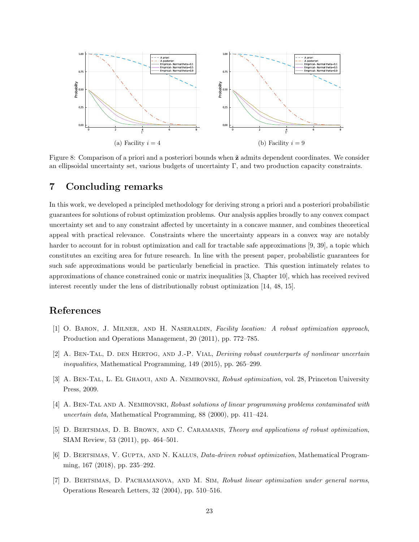

Figure 8: Comparison of a priori and a posteriori bounds when  $\tilde{z}$  admits dependent coordinates. We consider an ellipsoidal uncertainty set, various budgets of uncertainty Γ, and two production capacity constraints.

# 7 Concluding remarks

In this work, we developed a principled methodology for deriving strong a priori and a posteriori probabilistic guarantees for solutions of robust optimization problems. Our analysis applies broadly to any convex compact uncertainty set and to any constraint affected by uncertainty in a concave manner, and combines theoretical appeal with practical relevance. Constraints where the uncertainty appears in a convex way are notably harder to account for in robust optimization and call for tractable safe approximations [9, 39], a topic which constitutes an exciting area for future research. In line with the present paper, probabilistic guarantees for such safe approximations would be particularly beneficial in practice. This question intimately relates to approximations of chance constrained conic or matrix inequalities [3, Chapter 10], which has received revived interest recently under the lens of distributionally robust optimization [14, 48, 15].

# References

- [1] O. Baron, J. Milner, and H. Naseraldin, Facility location: A robust optimization approach, Production and Operations Management, 20 (2011), pp. 772–785.
- [2] A. BEN-TAL, D. DEN HERTOG, AND J.-P. VIAL, *Deriving robust counterparts of nonlinear uncertain* inequalities, Mathematical Programming, 149 (2015), pp. 265–299.
- [3] A. BEN-TAL, L. EL GHAOUI, AND A. NEMIROVSKI, Robust optimization, vol. 28, Princeton University Press, 2009.
- [4] A. BEN-TAL AND A. NEMIROVSKI, Robust solutions of linear programming problems contaminated with uncertain data, Mathematical Programming, 88 (2000), pp. 411–424.
- [5] D. BERTSIMAS, D. B. BROWN, AND C. CARAMANIS, *Theory and applications of robust optimization*, SIAM Review, 53 (2011), pp. 464–501.
- [6] D. BERTSIMAS, V. GUPTA, AND N. KALLUS, *Data-driven robust optimization*, Mathematical Programming, 167 (2018), pp. 235–292.
- [7] D. Bertsimas, D. Pachamanova, and M. Sim, Robust linear optimization under general norms, Operations Research Letters, 32 (2004), pp. 510–516.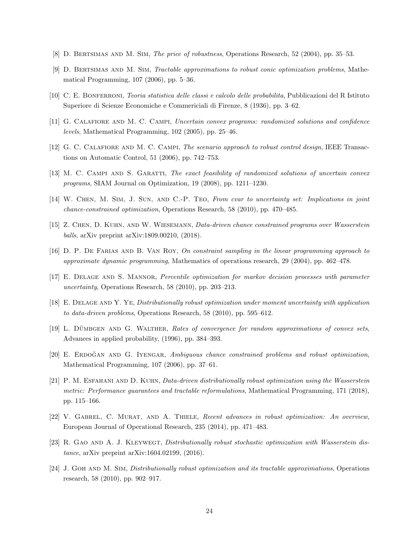- [8] D. Bertsimas and M. Sim, The price of robustness, Operations Research, 52 (2004), pp. 35–53.
- [9] D. Bertsimas and M. Sim, Tractable approximations to robust conic optimization problems, Mathematical Programming, 107 (2006), pp. 5–36.
- [10] C. E. Bonferroni, Teoria statistica delle classi e calcolo delle probabilita, Pubblicazioni del R Istituto Superiore di Scienze Economiche e Commericiali di Firenze, 8 (1936), pp. 3–62.
- [11] G. Calafiore and M. C. Campi, Uncertain convex programs: randomized solutions and confidence levels, Mathematical Programming, 102 (2005), pp. 25–46.
- [12] G. C. CALAFIORE AND M. C. CAMPI, The scenario approach to robust control design, IEEE Transactions on Automatic Control, 51 (2006), pp. 742–753.
- [13] M. C. CAMPI AND S. GARATTI, The exact feasibility of randomized solutions of uncertain convex programs, SIAM Journal on Optimization, 19 (2008), pp. 1211–1230.
- [14] W. Chen, M. Sim, J. Sun, and C.-P. Teo, From cvar to uncertainty set: Implications in joint chance-constrained optimization, Operations Research, 58 (2010), pp. 470–485.
- [15] Z. Chen, D. Kuhn, and W. Wiesemann, Data-driven chance constrained programs over Wasserstein balls, arXiv preprint arXiv:1809.00210, (2018).
- [16] D. P. De Farias and B. Van Roy, On constraint sampling in the linear programming approach to approximate dynamic programming, Mathematics of operations research, 29 (2004), pp. 462–478.
- [17] E. DELAGE AND S. MANNOR, Percentile optimization for markov decision processes with parameter uncertainty, Operations Research, 58 (2010), pp. 203–213.
- [18] E. Delage and Y. Ye, Distributionally robust optimization under moment uncertainty with application to data-driven problems, Operations Research, 58 (2010), pp. 595–612.
- [19] L. DÜMBGEN AND G. WALTHER, Rates of convergence for random approximations of convex sets, Advances in applied probability, (1996), pp. 384–393.
- [20] E. ERDOĞAN AND G. IYENGAR, Ambiguous chance constrained problems and robust optimization, Mathematical Programming, 107 (2006), pp. 37–61.
- [21] P. M. ESFAHANI AND D. KUHN, Data-driven distributionally robust optimization using the Wasserstein metric: Performance guarantees and tractable reformulations, Mathematical Programming, 171 (2018), pp. 115–166.
- [22] V. GABREL, C. MURAT, AND A. THIELE, Recent advances in robust optimization: An overview, European Journal of Operational Research, 235 (2014), pp. 471–483.
- [23] R. GAO AND A. J. KLEYWEGT, *Distributionally robust stochastic optimization with Wasserstein dis*tance, arXiv preprint arXiv:1604.02199, (2016).
- [24] J. GOH AND M. SIM, *Distributionally robust optimization and its tractable approximations*, Operations research, 58 (2010), pp. 902–917.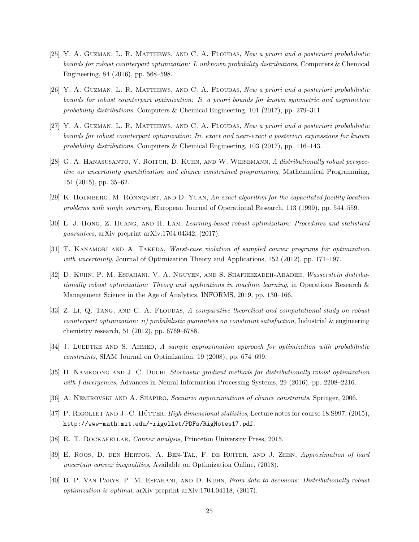- [25] Y. A. Guzman, L. R. Matthews, and C. A. Floudas, New a priori and a posteriori probabilistic bounds for robust counterpart optimization: I. unknown probability distributions, Computers & Chemical Engineering, 84 (2016), pp. 568–598.
- [26] Y. A. Guzman, L. R. Matthews, and C. A. Floudas, New a priori and a posteriori probabilistic bounds for robust counterpart optimization: Ii. a priori bounds for known symmetric and asymmetric probability distributions, Computers & Chemical Engineering, 101 (2017), pp. 279–311.
- [27] Y. A. Guzman, L. R. Matthews, and C. A. Floudas, New a priori and a posteriori probabilistic bounds for robust counterpart optimization: Iii. exact and near-exact a posteriori expressions for known probability distributions, Computers & Chemical Engineering, 103 (2017), pp. 116–143.
- [28] G. A. HANASUSANTO, V. ROITCH, D. KUHN, AND W. WIESEMANN, A distributionally robust perspective on uncertainty quantification and chance constrained programming, Mathematical Programming, 151 (2015), pp. 35–62.
- $[29]$  K. HOLMBERG, M. RÖNNQVIST, AND D. YUAN, An exact algorithm for the capacitated facility location problems with single sourcing, European Journal of Operational Research, 113 (1999), pp. 544–559.
- [30] L. J. Hong, Z. Huang, and H. Lam, Learning-based robust optimization: Procedures and statistical guarantees, arXiv preprint arXiv:1704.04342, (2017).
- [31] T. KANAMORI AND A. TAKEDA, Worst-case violation of sampled convex programs for optimization with uncertainty, Journal of Optimization Theory and Applications, 152 (2012), pp. 171–197.
- [32] D. Kuhn, P. M. Esfahani, V. A. Nguyen, and S. Shafieezadeh-Abadeh, Wasserstein distributionally robust optimization: Theory and applications in machine learning, in Operations Research & Management Science in the Age of Analytics, INFORMS, 2019, pp. 130–166.
- [33] Z. Li, Q. TANG, AND C. A. FLOUDAS, A comparative theoretical and computational study on robust  $counterpart$  optimization: ii) probabilistic quarantees on constraint satisfaction, Industrial  $\&$  engineering chemistry research, 51 (2012), pp. 6769–6788.
- [34] J. LUEDTKE AND S. AHMED, A sample approximation approach for optimization with probabilistic constraints, SIAM Journal on Optimization, 19 (2008), pp. 674–699.
- [35] H. NAMKOONG AND J. C. DUCHI, Stochastic gradient methods for distributionally robust optimization with f-divergences, Advances in Neural Information Processing Systems, 29 (2016), pp. 2208–2216.
- [36] A. Nemirovski and A. Shapiro, Scenario approximations of chance constraints, Springer, 2006.
- [37] P. RIGOLLET AND J.-C. HÜTTER, *High dimensional statistics*, Lecture notes for course 18.S997, (2015), http://www-math.mit.edu/~rigollet/PDFs/RigNotes17.pdf.
- [38] R. T. ROCKAFELLAR, Convex analysis, Princeton University Press, 2015.
- [39] E. Roos, D. den Hertog, A. Ben-Tal, F. de Ruiter, and J. Zhen, Approximation of hard uncertain convex inequalities, Available on Optimization Online, (2018).
- [40] B. P. Van Parys, P. M. Esfahani, and D. Kuhn, From data to decisions: Distributionally robust optimization is optimal, arXiv preprint arXiv:1704.04118, (2017).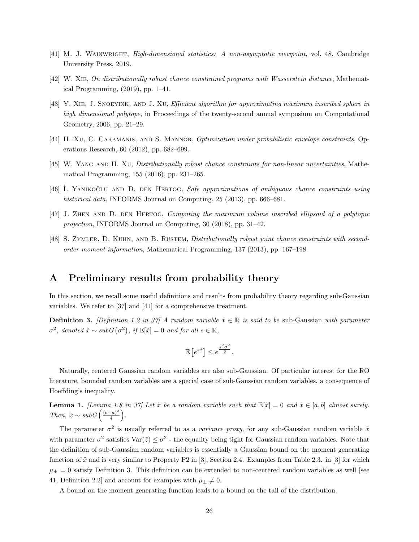- [41] M. J. Wainwright, High-dimensional statistics: A non-asymptotic viewpoint, vol. 48, Cambridge University Press, 2019.
- [42] W. Xie, On distributionally robust chance constrained programs with Wasserstein distance, Mathematical Programming, (2019), pp. 1–41.
- [43] Y. Xie, J. Snoeyink, and J. Xu, Efficient algorithm for approximating maximum inscribed sphere in high dimensional polytope, in Proceedings of the twenty-second annual symposium on Computational Geometry, 2006, pp. 21–29.
- [44] H. XU, C. CARAMANIS, AND S. MANNOR, *Optimization under probabilistic envelope constraints*, Operations Research, 60 (2012), pp. 682–699.
- [45] W. YANG AND H. XU, *Distributionally robust chance constraints for non-linear uncertainties*, Mathematical Programming, 155 (2016), pp. 231–265.
- [46] I. YANIKOGLU AND D. DEN HERTOG, Safe approximations of ambiguous chance constraints using historical data, INFORMS Journal on Computing, 25 (2013), pp. 666–681.
- [47] J. Zhen and D. den Hertog, Computing the maximum volume inscribed ellipsoid of a polytopic projection, INFORMS Journal on Computing, 30 (2018), pp. 31–42.
- [48] S. ZYMLER, D. KUHN, AND B. RUSTEM, *Distributionally robust joint chance constraints with second*order moment information, Mathematical Programming, 137 (2013), pp. 167–198.

### A Preliminary results from probability theory

In this section, we recall some useful definitions and results from probability theory regarding sub-Gaussian variables. We refer to [37] and [41] for a comprehensive treatment.

**Definition 3.** [Definition 1.2 in 37] A random variable  $\tilde{x} \in \mathbb{R}$  is said to be sub-Gaussian with parameter  $\sigma^2$ , denoted  $\tilde{x} \sim subG(\sigma^2)$ , if  $\mathbb{E}[\tilde{x}] = 0$  and for all  $s \in \mathbb{R}$ ,

$$
\mathbb{E}\left[e^{s\tilde{x}}\right] \leq e^{\frac{s^2\sigma^2}{2}}.
$$

Naturally, centered Gaussian random variables are also sub-Gaussian. Of particular interest for the RO literature, bounded random variables are a special case of sub-Gaussian random variables, a consequence of Hoeffding's inequality.

**Lemma 1.** [Lemma 1.8 in 37] Let  $\tilde{x}$  be a random variable such that  $\mathbb{E}[\tilde{x}] = 0$  and  $\tilde{x} \in [a, b]$  almost surely. Then,  $\tilde{x} \sim subG\left(\frac{(b-a)^2}{4}\right)$  $\frac{(-a)^2}{4}$ .

The parameter  $\sigma^2$  is usually referred to as a *variance proxy*, for any sub-Gaussian random variable  $\tilde{x}$ with parameter  $\sigma^2$  satisfies  $\text{Var}(\tilde{z}) \leq \sigma^2$  - the equality being tight for Gaussian random variables. Note that the definition of sub-Gaussian random variables is essentially a Gaussian bound on the moment generating function of  $\tilde{x}$  and is very similar to Property P2 in [3], Section 2.4. Examples from Table 2.3. in [3] for which  $\mu_{\pm} = 0$  satisfy Definition 3. This definition can be extended to non-centered random variables as well [see 41, Definition 2.2] and account for examples with  $\mu_{\pm} \neq 0$ .

A bound on the moment generating function leads to a bound on the tail of the distribution.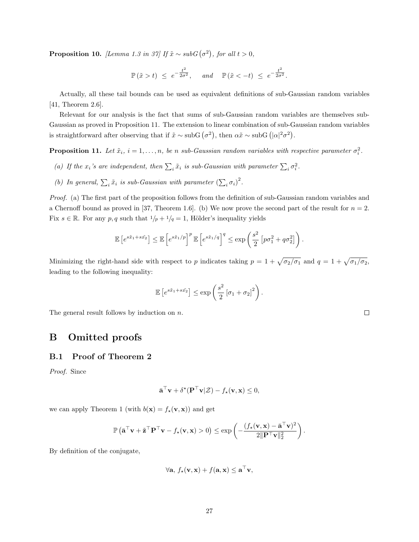**Proposition 10.** [Lemma 1.3 in 37] If  $\tilde{x} \sim subG(\sigma^2)$ , for all  $t > 0$ ,

$$
\mathbb{P}\left(\tilde{x} > t\right) \leq e^{-\frac{t^2}{2\sigma^2}}, \quad \text{and} \quad \mathbb{P}\left(\tilde{x} < -t\right) \leq e^{-\frac{t^2}{2\sigma^2}}.
$$

Actually, all these tail bounds can be used as equivalent definitions of sub-Gaussian random variables [41, Theorem 2.6].

Relevant for our analysis is the fact that sums of sub-Gaussian random variables are themselves sub-Gaussian as proved in Proposition 11. The extension to linear combination of sub-Gaussian random variables is straightforward after observing that if  $\tilde{x} \sim \text{subG}(\sigma^2)$ , then  $\alpha \tilde{x} \sim \text{subG}(|\alpha|^2 \sigma^2)$ .

**Proposition 11.** Let  $\tilde{x}_i$ ,  $i = 1, ..., n$ , be n sub-Gaussian random variables with respective parameter  $\sigma_i^2$ .

- (a) If the  $x_i$ 's are independent, then  $\sum_i \tilde{x}_i$  is sub-Gaussian with parameter  $\sum_i \sigma_i^2$ .
- (b) In general,  $\sum_i \tilde{x}_i$  is sub-Gaussian with parameter  $(\sum_i \sigma_i)^2$ .

Proof. (a) The first part of the proposition follows from the definition of sub-Gaussian random variables and a Chernoff bound as proved in [37, Theorem 1.6]. (b) We now prove the second part of the result for  $n = 2$ . Fix  $s \in \mathbb{R}$ . For any  $p, q$  such that  $1/p + 1/q = 1$ , Hölder's inequality yields

$$
\mathbb{E}\left[e^{s\tilde{x}_1+s\tilde{x_2}}\right] \leq \mathbb{E}\left[e^{s\tilde{x}_1/p}\right]^p \mathbb{E}\left[e^{s\tilde{x}_1/q}\right]^q \leq \exp\left(\frac{s^2}{2}\left[p\sigma_1^2+q\sigma_2^2\right]\right).
$$

Minimizing the right-hand side with respect to p indicates taking  $p = 1 + \sqrt{\sigma_2/\sigma_1}$  and  $q = 1 + \sqrt{\sigma_1/\sigma_2}$ , leading to the following inequality:

$$
\mathbb{E}\left[e^{s\tilde{x}_1+s\tilde{x}_2}\right] \le \exp\left(\frac{s^2}{2}\left[\sigma_1+\sigma_2\right]^2\right).
$$

The general result follows by induction on n.

# B Omitted proofs

### B.1 Proof of Theorem 2

Proof. Since

$$
\bar{\mathbf{a}}^{\top}\mathbf{v} + \delta^{\star}(\mathbf{P}^{\top}\mathbf{v}|\mathcal{Z}) - f_{\star}(\mathbf{v}, \mathbf{x}) \leq 0,
$$

we can apply Theorem 1 (with  $b(\mathbf{x}) = f_{\star}(\mathbf{v}, \mathbf{x}))$  and get

$$
\mathbb{P}\left(\bar{\mathbf{a}}^{\top}\mathbf{v} + \tilde{\mathbf{z}}^{\top}\mathbf{P}^{\top}\mathbf{v} - f_{\star}(\mathbf{v}, \mathbf{x}) > 0\right) \le \exp\left(-\frac{(f_{\star}(\mathbf{v}, \mathbf{x}) - \bar{\mathbf{a}}^{\top}\mathbf{v})^2}{2\|\mathbf{P}^{\top}\mathbf{v}\|_2^2}\right).
$$

By definition of the conjugate,

$$
\forall \mathbf{a}, f_{\star}(\mathbf{v}, \mathbf{x}) + f(\mathbf{a}, \mathbf{x}) \leq \mathbf{a}^{\top} \mathbf{v},
$$

 $\Box$